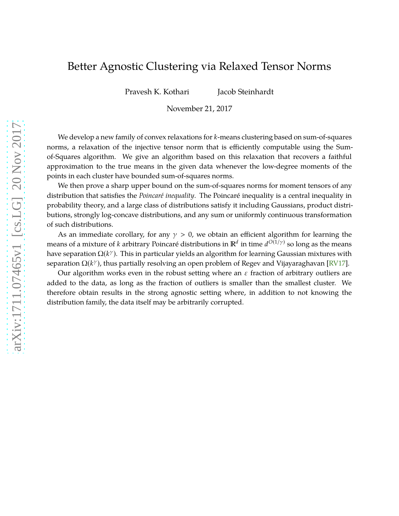# Better Agnostic Clustering via Relaxed Tensor Norms

Pravesh K. Kothari Jacob Steinhardt

November 21, 2017

We develop a new family of convex relaxations for *k*-means clustering based on sum-of-squares norms, a relaxation of the injective tensor norm that is efficiently computable using the Sumof-Squares algorithm. We give an algorithm based on this relaxation that recovers a faithful approximation to the true means in the given data whenever the low-degree moments of the points in each cluster have bounded sum-of-squares norms.

We then prove a sharp upper bound on the sum-of-squares norms for moment tensors of any distribution that satisfies the *Poincaré inequality*. The Poincaré inequality is a central inequality in probability theory, and a large class of distributions satisfy it including Gaussians, product distributions, strongly log-concave distributions, and any sum or uniformly continuous transformation of such distributions.

As an immediate corollary, for any  $\gamma > 0$ , we obtain an efficient algorithm for learning the means of a mixture of *k* arbitrary Poincaré distributions in  $\mathbb{R}^d$  in time  $d^{O(1/\gamma)}$  so long as the means have separation  $\Omega(k^\gamma)$ . This in particular yields an algorithm for learning Gaussian mixtures with separation Ω(*k<sup>γ</sup>*), thus partially resolving an open problem of Regev and Vijayaraghavan [\[RV17\]](#page-29-0).

Our algorithm works even in the robust setting where an  $\varepsilon$  fraction of arbitrary outliers are added to the data, as long as the fraction of outliers is smaller than the smallest cluster. We therefore obtain results in the strong agnostic setting where, in addition to not knowing the distribution family, the data itself may be arbitrarily corrupted.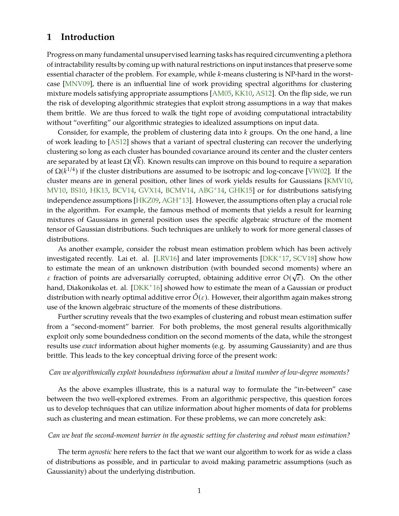# <span id="page-1-1"></span><span id="page-1-0"></span>**1 Introduction**

Progress on many fundamental unsupervised learning tasks has required circumventing a plethora of intractability results by coming up with natural restrictions on input instances that preserve some essential character of the problem. For example, while *k*-means clustering is NP-hard in the worstcase [\[MNV09\]](#page-29-1), there is an influential line of work providing spectral algorithms for clustering mixture models satisfying appropriate assumptions [\[AM05,](#page-27-0) [KK10,](#page-28-0) [AS12\]](#page-27-1). On the flip side, we run the risk of developing algorithmic strategies that exploit strong assumptions in a way that makes them brittle. We are thus forced to walk the tight rope of avoiding computational intractability without "overfiting" our algorithmic strategies to idealized assumptions on input data.

Consider, for example, the problem of clustering data into *k* groups. On the one hand, a line of work leading to [\[AS12\]](#page-27-1) shows that a variant of spectral clustering can recover the underlying clustering so long as each cluster has bounded covariance around its center and the cluster centers are separated by at least  $\Omega(\sqrt{k})$ . Known results can improve on this bound to require a separation of  $\Omega(k^{1/4})$  if the cluster distributions are assumed to be isotropic and log-concave [\[VW02\]](#page-29-2). If the cluster means are in general position, other lines of work yields results for Gaussians [\[KMV10,](#page-28-1) [MV10,](#page-29-3) [BS10,](#page-28-2) [HK13,](#page-28-3) [BCV14,](#page-27-2) [GVX14,](#page-28-4) [BCMV14,](#page-27-3) [ABG](#page-27-4)+14, [GHK15\]](#page-28-5) or for distributions satisfying independence assumptions [\[HKZ09,](#page-28-6) [AGH](#page-27-5)+13]. However, the assumptions often play a crucial role in the algorithm. For example, the famous method of moments that yields a result for learning mixtures of Gaussians in general position uses the specific algebraic structure of the moment tensor of Gaussian distributions. Such techniques are unlikely to work for more general classes of distributions.

As another example, consider the robust mean estimation problem which has been actively investigated recently. Lai et. al. [\[LRV16\]](#page-28-7) and later improvements [\[DKK](#page-28-8)+17, [SCV18\]](#page-29-4) show how to estimate the mean of an unknown distribution (with bounded second moments) where an  $\varepsilon$  fraction of points are adversarially corrupted, obtaining additive error  $O(\sqrt{\varepsilon})$ . On the other hand, Diakonikolas et. al.  $[DKK^+16]$  showed how to estimate the mean of a Gaussian or product distribution with nearly optimal additive error  $O(\varepsilon)$ . However, their algorithm again makes strong use of the known algebraic structure of the moments of these distributions.

Further scrutiny reveals that the two examples of clustering and robust mean estimation suffer from a "second-moment" barrier. For both problems, the most general results algorithmically exploit only some boundedness condition on the second moments of the data, while the strongest results use *exact* information about higher moments (e.g. by assuming Gaussianity) and are thus brittle. This leads to the key conceptual driving force of the present work:

#### *Can we algorithmically exploit boundedness information about a limited number of low-degree moments?*

As the above examples illustrate, this is a natural way to formulate the "in-between" case between the two well-explored extremes. From an algorithmic perspective, this question forces us to develop techniques that can utilize information about higher moments of data for problems such as clustering and mean estimation. For these problems, we can more concretely ask:

#### *Can we beat the second-moment barrier in the agnostic setting for clustering and robust mean estimation?*

The term *agnostic* here refers to the fact that we want our algorithm to work for as wide a class of distributions as possible, and in particular to avoid making parametric assumptions (such as Gaussianity) about the underlying distribution.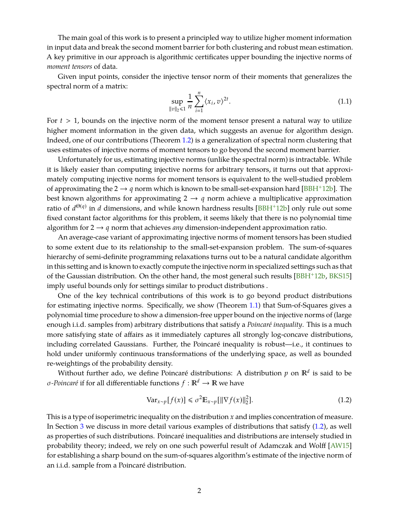<span id="page-2-2"></span>The main goal of this work is to present a principled way to utilize higher moment information in input data and break the second moment barrier for both clustering and robust mean estimation. A key primitive in our approach is algorithmic certificates upper bounding the injective norms of *moment tensors* of data.

Given input points, consider the injective tensor norm of their moments that generalizes the spectral norm of a matrix:

<span id="page-2-1"></span>
$$
\sup_{\|v\|_2 \leq 1} \frac{1}{n} \sum_{i=1}^n \langle x_i, v \rangle^{2t}.
$$
 (1.1)

For  $t > 1$ , bounds on the injective norm of the moment tensor present a natural way to utilize higher moment information in the given data, which suggests an avenue for algorithm design. Indeed, one of our contributions (Theorem [1.2\)](#page-4-0) is a generalization of spectral norm clustering that uses estimates of injective norms of moment tensors to go beyond the second moment barrier.

Unfortunately for us, estimating injective norms (unlike the spectral norm) is intractable. While it is likely easier than computing injective norms for arbitrary tensors, it turns out that approximately computing injective norms for moment tensors is equivalent to the well-studied problem of approximating the 2  $\rightarrow$  *q* norm which is known to be small-set-expansion hard [\[BBH](#page-27-6)<sup>+</sup>12b]. The best known algorithms for approximating  $2 \rightarrow q$  norm achieve a multiplicative approximation ratio of  $d^{\Theta(q)}$  in *d* dimensions, and while known hardness results [\[BBH](#page-27-6)<sup>+</sup>12b] only rule out some fixed constant factor algorithms for this problem, it seems likely that there is no polynomial time algorithm for  $2 \rightarrow q$  norm that achieves *any* dimension-independent approximation ratio.

An average-case variant of approximating injective norms of moment tensors has been studied to some extent due to its relationship to the small-set-expansion problem. The sum-of-squares hierarchy of semi-definite programming relaxations turns out to be a natural candidate algorithm in this setting and is known to exactly compute the injective norm in specialized settings such as that of the Gaussian distribution. On the other hand, the most general such results [\[BBH](#page-27-6)+12b, [BKS15\]](#page-27-7) imply useful bounds only for settings similar to product distributions .

One of the key technical contributions of this work is to go beyond product distributions for estimating injective norms. Specifically, we show (Theorem [1.1\)](#page-3-0) that Sum-of-Squares gives a polynomial time procedure to show a dimension-free upper bound on the injective norms of (large enough i.i.d. samples from) arbitrary distributions that satisfy a *Poincaré inequality*. This is a much more satisfying state of affairs as it immediately captures all strongly log-concave distributions, including correlated Gaussians. Further, the Poincaré inequality is robust—i.e., it continues to hold under uniformly continuous transformations of the underlying space, as well as bounded re-weightings of the probability density.

Without further ado, we define Poincaré distributions: A distribution  $p$  on  $\mathbb{R}^d$  is said to be *σ*-*Poincaré* if for all differentiable functions  $f : \mathbb{R}^d \to \mathbb{R}$  we have

<span id="page-2-0"></span>
$$
\text{Var}_{x \sim p}[f(x)] \leq \sigma^2 \mathbb{E}_{x \sim p}[\|\nabla f(x)\|_2^2].\tag{1.2}
$$

This is a type of isoperimetric inequality on the distribution *x* and implies concentration of measure. In Section [3](#page-11-0) we discuss in more detail various examples of distributions that satisfy [\(1.2\)](#page-2-0), as well as properties of such distributions. Poincaré inequalities and distributions are intensely studied in probability theory; indeed, we rely on one such powerful result of Adamczak and Wolff [\[AW15\]](#page-27-8) for establishing a sharp bound on the sum-of-squares algorithm's estimate of the injective norm of an i.i.d. sample from a Poincaré distribution.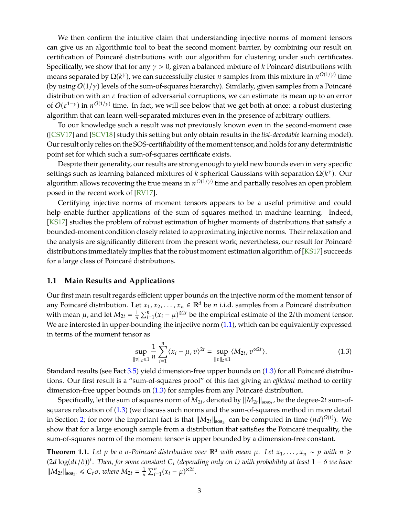<span id="page-3-2"></span>We then confirm the intuitive claim that understanding injective norms of moment tensors can give us an algorithmic tool to beat the second moment barrier, by combining our result on certification of Poincaré distributions with our algorithm for clustering under such certificates. Specifically, we show that for any  $\gamma > 0$ , given a balanced mixture of *k* Poincaré distributions with means separated by  $\Omega(k^\gamma)$ , we can successfully cluster *n* samples from this mixture in  $n^{O(1/\gamma)}$  time (by using  $O(1/\gamma)$  levels of the sum-of-squares hierarchy). Similarly, given samples from a Poincaré distribution with an  $\varepsilon$  fraction of adversarial corruptions, we can estimate its mean up to an error of  $O(\varepsilon^{1-\gamma})$  in  $n^{O(1/\gamma)}$  time. In fact, we will see below that we get both at once: a robust clustering algorithm that can learn well-separated mixtures even in the presence of arbitrary outliers.

To our knowledge such a result was not previously known even in the second-moment case ([\[CSV17\]](#page-28-10) and [\[SCV18\]](#page-29-4) study this setting but only obtain results in the *list-decodable* learning model). Our result only relies on the SOS-certifiability of the moment tensor, and holds for any deterministic point set for which such a sum-of-squares certificate exists.

Despite their generality, our results are strong enough to yield new bounds even in very specific settings such as learning balanced mixtures of *k* spherical Gaussians with separation  $\Omega(k^{\gamma})$ . Our algorithm allows recovering the true means in  $n^{O(1/\gamma)}$  time and partially resolves an open problem posed in the recent work of [\[RV17\]](#page-29-0).

Certifying injective norms of moment tensors appears to be a useful primitive and could help enable further applications of the sum of squares method in machine learning. Indeed, [\[KS17\]](#page-28-11) studies the problem of robust estimation of higher moments of distributions that satisfy a bounded-moment condition closely related to approximating injective norms. Their relaxation and the analysis are significantly different from the present work; nevertheless, our result for Poincaré distributions immediately implies that the robust moment estimation algorithm of [\[KS17\]](#page-28-11) succeeds for a large class of Poincaré distributions.

### **1.1 Main Results and Applications**

Our first main result regards efficient upper bounds on the injective norm of the moment tensor of any Poincaré distribution. Let  $x_1, x_2, ..., x_n \in \mathbb{R}^d$  be *n* i.i.d. samples from a Poincaré distribution with mean  $\mu$ , and let  $M_{2t} = \frac{1}{n}$  $\frac{1}{n}$   $\sum_{i=1}^{n} (x_i - \mu)^{\otimes 2t}$  be the empirical estimate of the 2*t*th moment tensor. We are interested in upper-bounding the injective norm [\(1.1\)](#page-2-1), which can be equivalently expressed in terms of the moment tensor as

<span id="page-3-1"></span>
$$
\sup_{\|v\|_2 \leq 1} \frac{1}{n} \sum_{i=1}^n \langle x_i - \mu, v \rangle^{2t} = \sup_{\|v\|_2 \leq 1} \langle M_{2t}, v^{\otimes 2t} \rangle.
$$
 (1.3)

Standard results (see Fact [3.5\)](#page-12-0) yield dimension-free upper bounds on [\(1.3\)](#page-3-1) for all Poincaré distributions. Our first result is a "sum-of-squares proof" of this fact giving an *efficient* method to certify dimension-free upper bounds on [\(1.3\)](#page-3-1) for samples from any Poincaré distribution.

Specifically, let the sum of squares norm of  $M_{2t}$ , denoted by  $\|M_{2t}\|_{\mathrm{sos}_{2t}}$ , be the degree-2*t* sum-ofsquares relaxation of [\(1.3\)](#page-3-1) (we discuss such norms and the sum-of-squares method in more detail in Section [2;](#page-9-0) for now the important fact is that  $||M_{2t}||_{sos_{2t}}$  can be computed in time  $(nd)^{O(t)}$ ). We show that for a large enough sample from a distribution that satisfies the Poincaré inequality, the sum-of-squares norm of the moment tensor is upper bounded by a dimension-free constant.

<span id="page-3-0"></span>**Theorem 1.1.** Let p be a  $\sigma$ -Poincaré distribution over  $\mathbb{R}^d$  with mean  $\mu$ . Let  $x_1, \ldots, x_n \sim p$  with  $n \geq$ (2*<sup>d</sup>* log(*dt*/δ))*<sup>t</sup> . Then, for some constant C<sup>t</sup> (depending only on t) with probability at least* 1 − δ *we have*  $\|M_{2t}\|_{\text{sos}_{2t}} \leq C_t \sigma$ , where  $M_{2t} = \frac{1}{n}$  $\frac{1}{n} \sum_{i=1}^{n} (x_i - \mu)^{\otimes 2t}$ .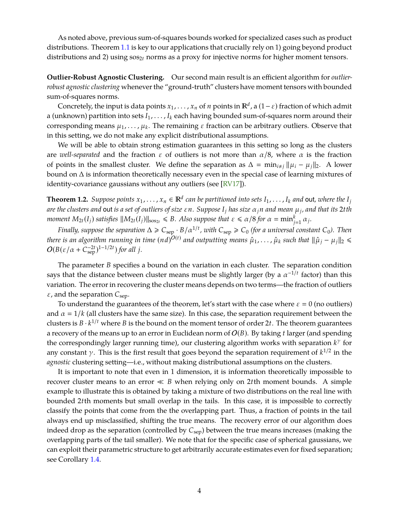<span id="page-4-1"></span>As noted above, previous sum-of-squares bounds worked for specialized cases such as product distributions. Theorem [1.1](#page-3-0) is key to our applications that crucially rely on 1) going beyond product distributions and 2) using  $\cos_{2t}$  norms as a proxy for injective norms for higher moment tensors.

**Outlier-Robust Agnostic Clustering.** Our second main result is an efficient algorithm for *outlierrobust agnostic clustering* whenever the "ground-truth" clusters have moment tensors with bounded sum-of-squares norms.

Concretely, the input is data points  $x_1, \ldots, x_n$  of  $n$  points in  $\mathbb{R}^d$ , a  $(1-\varepsilon)$  fraction of which admit a (unknown) partition into sets *I*1, . . . , *I<sup>k</sup>* each having bounded sum-of-squares norm around their corresponding means  $μ_1, …, μ_k$ . The remaining  $ε$  fraction can be arbitrary outliers. Observe that in this setting, we do not make any explicit distributional assumptions.

We will be able to obtain strong estimation guarantees in this setting so long as the clusters are *well-separated* and the fraction  $\varepsilon$  of outliers is not more than  $\alpha/8$ , where  $\alpha$  is the fraction of points in the smallest cluster. We define the separation as  $\Delta = \min_{i \neq j} ||\mu_i - \mu_j||_2$ . A lower bound on ∆ is information theoretically necessary even in the special case of learning mixtures of identity-covariance gaussians without any outliers (see [\[RV17\]](#page-29-0)).

<span id="page-4-0"></span>**Theorem 1.2.** Suppose points  $x_1, \ldots, x_n \in \mathbb{R}^d$  can be partitioned into sets  $I_1, \ldots, I_k$  and out, where the  $I_j$ *are the clusters and* out *is a set of outliers of size* ε*n. Suppose I<sup>j</sup> has size* α*jn and mean* µ*<sup>j</sup> , and that its* 2*tth moment*  $M_{2t}(I_j)$  *satisfies*  $\|M_{2t}(I_j)\|_{sos_{2t}} \le B$ *. Also suppose that*  $\varepsilon \le \alpha/8$  *for*  $\alpha = \min_{j=1}^k \alpha_j$ *.* 

*Finally, suppose the separation*  $\Delta \geqslant C_{\rm sep}\cdot B/\alpha^{1/t}$ , with  $C_{\rm sep}\geqslant C_0$  (for a universal constant  $C_0$ ). Then *there is an algorithm running in time*  $(nd)^{O(t)}$  *and outputting means*  $\hat{\mu}_1, \ldots, \hat{\mu}_k$  *such that*  $\|\hat{\mu}_j - \mu_j\|_2 \leq$  $O(B(\varepsilon/\alpha + C_{\text{sep}}^{-2t})^{1-1/2t})$  for all *j*.

The parameter *B* specifies a bound on the variation in each cluster. The separation condition says that the distance between cluster means must be slightly larger (by a  $\alpha^{-1/t}$  factor) than this variation. The error in recovering the cluster means depends on two terms—the fraction of outliers  $\varepsilon$ , and the separation  $C_{\text{sep}}$ .

To understand the guarantees of the theorem, let's start with the case where  $\varepsilon = 0$  (no outliers) and  $\alpha = 1/k$  (all clusters have the same size). In this case, the separation requirement between the clusters is  $B \cdot k^{1/t}$  where *B* is the bound on the moment tensor of order 2*t*. The theorem guarantees a recovery of the means up to an error in Euclidean norm of O(*B*). By taking *t* larger (and spending the correspondingly larger running time), our clustering algorithm works with separation *k* γ for any constant  $\gamma$ . This is the first result that goes beyond the separation requirement of  $k^{1/2}$  in the *agnostic* clustering setting—i.e., without making distributional assumptions on the clusters.

It is important to note that even in 1 dimension, it is information theoretically impossible to recover cluster means to an error  $\ll B$  when relying only on 2*t*th moment bounds. A simple example to illustrate this is obtained by taking a mixture of two distributions on the real line with bounded 2*t*th moments but small overlap in the tails. In this case, it is impossible to correctly classify the points that come from the the overlapping part. Thus, a fraction of points in the tail always end up misclassified, shifting the true means. The recovery error of our algorithm does indeed drop as the separation (controlled by  $C_{sep}$ ) between the true means increases (making the overlapping parts of the tail smaller). We note that for the specific case of spherical gaussians, we can exploit their parametric structure to get arbitrarily accurate estimates even for fixed separation; see Corollary [1.4.](#page-5-0)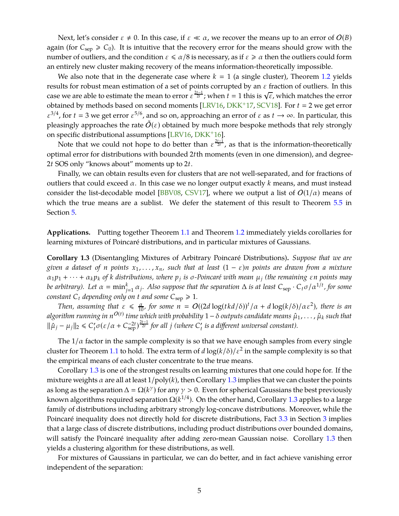<span id="page-5-2"></span>Next, let's consider  $\varepsilon \neq 0$ . In this case, if  $\varepsilon \ll \alpha$ , we recover the means up to an error of  $O(B)$ again (for  $C_{\text{sep}} \ge C_0$ ). It is intuitive that the recovery error for the means should grow with the number of outliers, and the condition  $\varepsilon \le \alpha/8$  is necessary, as if  $\varepsilon \ge \alpha$  then the outliers could form an entirely new cluster making recovery of the means information-theoretically impossible.

We also note that in the degenerate case where  $k = 1$  (a single cluster), Theorem [1.2](#page-4-0) yields results for robust mean estimation of a set of points corrupted by an  $\varepsilon$  fraction of outliers. In this case we are able to estimate the mean to error  $\varepsilon^{\frac{2t-1}{2t}}$ ; when  $t=1$  this is  $\sqrt{\varepsilon}$ , which matches the error obtained by methods based on second moments [\[LRV16,](#page-28-7) [DKK](#page-28-8)<sup>+</sup>17, [SCV18\]](#page-29-4). For  $t = 2$  we get error  $\varepsilon^{3/4}$ , for  $t = 3$  we get error  $\varepsilon^{5/6}$ , and so on, approaching an error of  $\varepsilon$  as  $t \to \infty$ . In particular, this pleasingly approaches the rate  $\tilde{O}(\varepsilon)$  obtained by much more bespoke methods that rely strongly on specific distributional assumptions [\[LRV16,](#page-28-7) [DKK](#page-28-9)+16].

Note that we could not hope to do better than  $\varepsilon^{\frac{2t-1}{2t}}$ , as that is the information-theoretically optimal error for distributions with bounded 2*t*th moments (even in one dimension), and degree-2*t* SOS only "knows about" moments up to 2*t*.

Finally, we can obtain results even for clusters that are not well-separated, and for fractions of outliers that could exceed  $\alpha$ . In this case we no longer output exactly k means, and must instead consider the list-decodable model [\[BBV08,](#page-27-9) [CSV17\]](#page-28-10), where we output a list of  $O(1/\alpha)$  means of which the true means are a sublist. We defer the statement of this result to Theorem [5.5](#page-20-0) in Section [5.](#page-19-0)

<span id="page-5-1"></span>**Applications.** Putting together Theorem [1.1](#page-3-0) and Theorem [1.2](#page-4-0) immediately yields corollaries for learning mixtures of Poincaré distributions, and in particular mixtures of Gaussians.

**Corollary 1.3** (Disentangling Mixtures of Arbitrary Poincaré Distributions)**.** *Suppose that we are given a dataset of n points*  $x_1, \ldots, x_n$ *, such that at least*  $(1 - \varepsilon)n$  *points are drawn from a mixture* <sup>α</sup>1*p*<sup>1</sup> <sup>+</sup> · · · <sup>+</sup> <sup>α</sup>*kp<sup>k</sup> of <sup>k</sup> distributions, where <sup>p</sup><sup>j</sup> is* σ*-Poincaré with mean* µ*<sup>j</sup> (the remaining* ε*n points may be arbitrary). Let*  $\alpha = \min_{j=1}^k \alpha_j$ *. Also suppose that the separation*  $\Delta$  *is at least*  $C_{\rm sep} \cdot C_t \sigma / \alpha^{1/t}$ *, for some constant*  $C_t$  *depending only on t and some*  $C_{\text{sep}} \ge 1$ *.* 

*Then, assuming that*  $\varepsilon \le \frac{\alpha}{10}$ *, for some*  $n = O((2d \log(tkd/\delta))^t / \alpha + d \log(k/\delta)/\alpha \varepsilon^2)$ *, there is an algorithm running in n<sup>O(t)</sup> time which with probability 1* − δ *outputs candidate means*  $\hat{\mu}_1, \ldots, \hat{\mu}_k$  *such that*  $\|\hat{\mu}_j - \mu_j\|_2 \le C'_t \sigma(\varepsilon/\alpha + C_{\text{sep}}^{-2t})^{\frac{2t-1}{2t}}$  for all *j* (where  $C'_t$  is a different universal constant).

The  $1/\alpha$  factor in the sample complexity is so that we have enough samples from every single cluster for Theorem [1.1](#page-3-0) to hold. The extra term of  $d \log(k/\delta) / \varepsilon^2$  in the sample complexity is so that the empirical means of each cluster concentrate to the true means.

Corollary [1.3](#page-5-1) is one of the strongest results on learning mixtures that one could hope for. If the mixture weights  $\alpha$  are all at least  $1/\text{poly}(k)$ , then Corollary [1.3](#page-5-1) implies that we can cluster the points as long as the separation  $\Delta = \Omega(k^{\gamma})$  for any  $\gamma > 0$ . Even for spherical Gaussians the best previously known algorithms required separation  $\Omega(k^{1/4})$ . On the other hand, Corollary [1.3](#page-5-1) applies to a large family of distributions including arbitrary strongly log-concave distributions. Moreover, while the Poincaré inequality does not directly hold for discrete distributions, Fact [3.3](#page-12-1) in Section [3](#page-11-0) implies that a large class of discrete distributions, including product distributions over bounded domains, will satisfy the Poincaré inequality after adding zero-mean Gaussian noise. Corollary [1.3](#page-5-1) then yields a clustering algorithm for these distributions, as well.

<span id="page-5-0"></span>For mixtures of Gaussians in particular, we can do better, and in fact achieve vanishing error independent of the separation: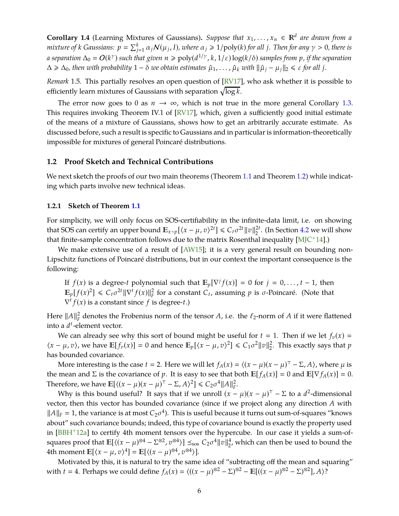<span id="page-6-0"></span>**Corollary 1.4** (Learning Mixtures of Gaussians). *Suppose that*  $x_1, \ldots, x_n \in \mathbb{R}^d$  are drawn from a *mixture of k Gaussians:*  $p = \sum_{j=1}^k \alpha_j N(\mu_j, I)$ *, where*  $\alpha_j \geqslant 1/\mathrm{poly}(k)$  *for all*  $j$ *<i>. Then for any*  $\gamma > 0$ *, there is*  $a$  separation  $\Delta_0 = O(k^{\gamma})$  such that given  $n \ge \text{poly}(d^{1/\gamma}, k, 1/\varepsilon) \log(k/\delta)$  samples from  $p$ , if the separation  $\Delta \ge \Delta_0$ , then with probability  $1 - \delta$  we obtain estimates  $\hat{\mu}_1, \ldots, \hat{\mu}_k$  with  $\|\hat{\mu}_j - \mu_j\|_2 \le \epsilon$  for all *j*.

*Remark* 1.5*.* This partially resolves an open question of [\[RV17\]](#page-29-0), who ask whether it is possible to efficiently learn mixtures of Gaussians with separation  $\sqrt{\log k}.$ 

The error now goes to 0 as  $n \to \infty$ , which is not true in the more general Corollary [1.3.](#page-5-1) This requires invoking Theorem IV.1 of [\[RV17\]](#page-29-0), which, given a sufficiently good initial estimate of the means of a mixture of Gaussians, shows how to get an arbitrarily accurate estimate. As discussed before, such a result is specific to Gaussians and in particular is information-theoretically impossible for mixtures of general Poincaré distributions.

#### **1.2 Proof Sketch and Technical Contributions**

We next sketch the proofs of our two main theorems (Theorem [1.1](#page-3-0) and Theorem [1.2\)](#page-4-0) while indicating which parts involve new technical ideas.

#### **1.2.1 Sketch of Theorem [1.1](#page-3-0)**

For simplicity, we will only focus on SOS-certifiability in the infinite-data limit, i.e. on showing that SOS can certify an upper bound  $\mathbb{E}_{x \sim p}[(x - \mu, v)^{2t}] \leq C_t \sigma^{2t} ||v||_2^{2t}$ . (In Section [4.2](#page-16-0) we will show that finite-sample concentration follows due to the matrix Rosenthal inequality  $[M]C+14]$ .)

We make extensive use of a result of  $[AW15]$ ; it is a very general result on bounding non-Lipschitz functions of Poincaré distributions, but in our context the important consequence is the following:

If  $f(x)$  is a degree-*t* polynomial such that  $\mathbb{E}_p[\nabla^j f(x)] = 0$  for  $j = 0, ..., t - 1$ , then  $\mathbb{E}_p[f(x)^2] \leq C_t \sigma^{2t} \|\nabla^t f(x)\|_F^2$  for a constant  $C_t$ , assuming *p* is  $\sigma$ -Poincaré. (Note that  $\nabla^t f(x)$  is a constant since  $f$  is degree-*t*.)

Here  $||A||_F^2$  $\frac{2}{F}$  denotes the Frobenius norm of the tensor *A*, i.e. the  $\ell_2$ -norm of *A* if it were flattened into a *d t* -element vector.

We can already see why this sort of bound might be useful for  $t = 1$ . Then if we let  $f_v(x) =$  $\langle x - \mu, v \rangle$ , we have  $\mathbb{E}[f_v(x)] = 0$  and hence  $\mathbb{E}_p[\langle x - \mu, v \rangle^2] \le C_1 \sigma^2 ||v||_2^2$ 2 . This exactly says that *p* has bounded covariance.

More interesting is the case  $t = 2$ . Here we will let  $f_A(x) = \langle (x - \mu)(x - \mu)^{\top} - \Sigma, A \rangle$ , where  $\mu$  is the mean and  $\Sigma$  is the covariance of *p*. It is easy to see that both  $\mathbb{E}[f_A(x)] = 0$  and  $\mathbb{E}[\nabla f_A(x)] = 0$ . Therefore, we have  $\mathbb{E}[\langle (x - \mu)(x - \mu)^{\top} - \Sigma, A \rangle^2] \leq C_2 \sigma^4 ||A||_F^2$ *F* .

Why is this bound useful? It says that if we unroll  $(x - \mu)(x - \mu)^{\top} - \Sigma$  to a  $d^2$ -dimensional vector, then this vector has bounded covariance (since if we project along any direction *A* with  $||A||_F = 1$ , the variance is at most  $C_2\sigma^4$ ). This is useful because it turns out sum-of-squares "knows about" such covariance bounds; indeed, this type of covariance bound is exactly the property used in [\[BBH](#page-27-10)<sup>+</sup>12a] to certify 4th moment tensors over the hypercube. In our case it yields a sum-ofsquares proof that  $\mathbb{E}[\langle (x - \mu)^{\otimes 4} - \Sigma^{\otimes 2}, v^{\otimes 4} \rangle] \leq_{\text{sos}} C_2 \sigma^4 ||v||_2^4$  $2<sub>2</sub>$ , which can then be used to bound the 4th moment  $\mathbb{E}[\langle x - \mu, v \rangle^4] = \mathbb{E}[\langle (x - \mu)^{\otimes 4}, v^{\otimes 4} \rangle].$ 

Motivated by this, it is natural to try the same idea of "subtracting off the mean and squaring" with *t* = 4. Perhaps we could define  $f_A(x) = \langle ((x - \mu)^{\otimes 2} - \Sigma)^{\otimes 2} - \mathbb{E}[((x - \mu)^{\otimes 2} - \Sigma)^{\otimes 2}], A \rangle$ ?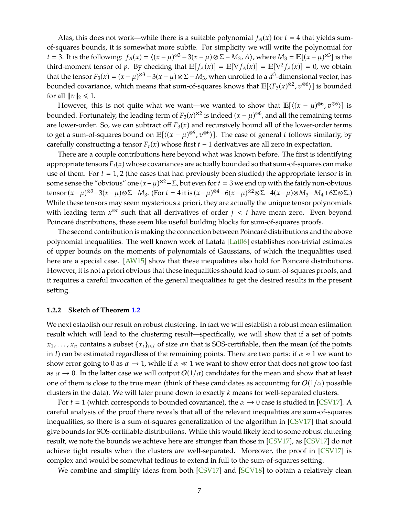<span id="page-7-0"></span>Alas, this does not work—while there is a suitable polynomial  $f_A(x)$  for  $t = 4$  that yields sumof-squares bounds, it is somewhat more subtle. For simplicity we will write the polynomial for *t* = 3. It is the following:  $f_A(x) = \langle (x - \mu)^{\otimes 3} - 3(x - \mu) \otimes \Sigma - M_3, A \rangle$ , where  $M_3 = \mathbb{E}[(x - \mu)^{\otimes 3}]$  is the third-moment tensor of *p*. By checking that  $\mathbb{E}[f_A(x)] = \mathbb{E}[\nabla f_A(x)] = \mathbb{E}[\nabla^2 f_A(x)] = 0$ , we obtain that the tensor  $F_3(x) = (x - \mu)^{\otimes 3} - 3(x - \mu) \otimes \Sigma - M_3$ , when unrolled to a  $d^3$ -dimensional vector, has bounded covariance, which means that sum-of-squares knows that  $\mathbb{E}[\langle F_3(x)^{\otimes 2}, v^{\otimes 6} \rangle]$  is bounded for all  $\|v\|_2 \le 1$ .

However, this is not quite what we want—we wanted to show that  $\mathbb{E}[\langle (x - \mu)^{\otimes 6}, v^{\otimes 6} \rangle]$  is bounded. Fortunately, the leading term of  $F_3(x)^{\otimes 2}$  is indeed  $(x - \mu)^{\otimes 6}$ , and all the remaining terms are lower-order. So, we can subtract off  $F_3(x)$  and recursively bound all of the lower-order terms to get a sum-of-squares bound on  $\mathbb{E}[\langle (x - \mu)^{\otimes 6}, v^{\otimes 6} \rangle]$ . The case of general *t* follows similarly, by carefully constructing a tensor  $F_t(x)$  whose first  $t-1$  derivatives are all zero in expectation.

There are a couple contributions here beyond what was known before. The first is identifying appropriate tensors  $F_t(x)$  whose covariances are actually bounded so that sum-of-squares can make use of them. For  $t = 1, 2$  (the cases that had previously been studied) the appropriate tensor is in some sense the "obvious" one  $(x-\mu)^{\otimes 2}$  -  $\Sigma$ , but even for  $t=3$  we end up with the fairly non-obvious tensor  $(x-\mu)^{\otimes 3} - 3(x-\mu)\otimes \Sigma - M_3$ . (For  $t = 4$  it is  $(x-\mu)^{\otimes 4} - 6(x-\mu)^{\otimes 2}\otimes \Sigma - 4(x-\mu)\otimes M_3 - M_4 + 6\Sigma \otimes \Sigma$ .) While these tensors may seem mysterious a priori, they are actually the unique tensor polynomials with leading term  $x^{\otimes t}$  such that all derivatives of order  $j < t$  have mean zero. Even beyond Poincaré distributions, these seem like useful building blocks for sum-of-squares proofs.

The second contribution is making the connection between Poincaré distributions and the above polynomial inequalities. The well known work of Latała [\[Lat06\]](#page-28-12) establishes non-trivial estimates of upper bounds on the moments of polynomials of Gaussians, of which the inequalities used here are a special case. [\[AW15\]](#page-27-8) show that these inequalities also hold for Poincaré distributions. However, it is not a priori obvious that these inequalities should lead to sum-of-squares proofs, and it requires a careful invocation of the general inequalities to get the desired results in the present setting.

#### **1.2.2 Sketch of Theorem [1.2](#page-4-0)**

We next establish our result on robust clustering. In fact we will establish a robust mean estimation result which will lead to the clustering result—specifically, we will show that if a set of points  $x_1, \ldots, x_n$  contains a subset  $\{x_i\}_{i \in I}$  of size  $\alpha n$  that is SOS-certifiable, then the mean (of the points in *I*) can be estimated regardless of the remaining points. There are two parts: if  $\alpha \approx 1$  we want to show error going to 0 as  $\alpha \rightarrow 1$ , while if  $\alpha \ll 1$  we want to show error that does not grow too fast as  $\alpha \to 0$ . In the latter case we will output  $O(1/\alpha)$  candidates for the mean and show that at least one of them is close to the true mean (think of these candidates as accounting for  $O(1/\alpha)$  possible clusters in the data). We will later prune down to exactly *k* means for well-separated clusters.

For  $t = 1$  (which corresponds to bounded covariance), the  $\alpha \rightarrow 0$  case is studied in [\[CSV17\]](#page-28-10). A careful analysis of the proof there reveals that all of the relevant inequalities are sum-of-squares inequalities, so there is a sum-of-squares generalization of the algorithm in [\[CSV17\]](#page-28-10) that should give bounds for SOS-certifiable distributions. While this would likely lead to some robust clutering result, we note the bounds we achieve here are stronger than those in [\[CSV17\]](#page-28-10), as [\[CSV17\]](#page-28-10) do not achieve tight results when the clusters are well-separated. Moreover, the proof in [\[CSV17\]](#page-28-10) is complex and would be somewhat tedious to extend in full to the sum-of-squares setting.

We combine and simplify ideas from both [\[CSV17\]](#page-28-10) and [\[SCV18\]](#page-29-4) to obtain a relatively clean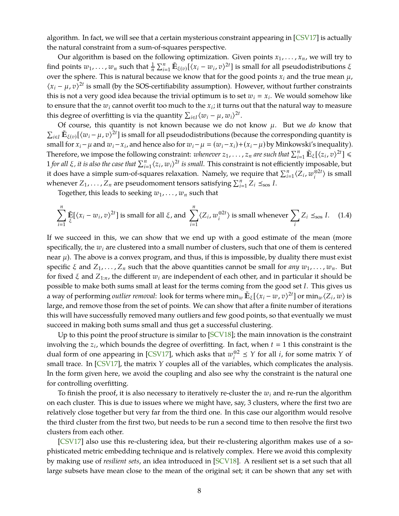<span id="page-8-0"></span>algorithm. In fact, we will see that a certain mysterious constraint appearing in [\[CSV17\]](#page-28-10) is actually the natural constraint from a sum-of-squares perspective.

Our algorithm is based on the following optimization. Given points  $x_1, \ldots, x_n$ , we will try to find points  $w_1, \ldots, w_n$  such that  $\frac{1}{n} \sum_{i=1}^n \tilde{\mathbb{E}}_{\xi(v)}[\langle x_i - w_i, v \rangle^{2t}]$  is small for all pseudodistributions  $\xi$ over the sphere. This is natural because we know that for the good points  $x_i$  and the true mean  $\mu$ ,  $\langle x_i - \mu, v \rangle^{2t}$  is small (by the SOS-certifiability assumption). However, without further constraints this is not a very good idea because the trivial optimum is to set  $w_i = x_i$ . We would somehow like to ensure that the  $w_i$  cannot overfit too much to the  $x_i$ ; it turns out that the natural way to measure this degree of overfitting is via the quantity  $\sum_{i \in I} \langle w_i - \mu, w_i \rangle^{2t}$ .

Of course, this quantity is not known because we do not know  $\mu$ . But we *do* know that  $\sum_{i\in I}\tilde{\mathbb{E}}_{\xi(v)}[\langle w_i-\mu,v\rangle^{2t}]$  is small for all pseudodistributions (because the corresponding quantity is small for  $x_i - \mu$  and  $w_i - x_i$ , and hence also for  $w_i - \mu = (w_i - x_i) + (x_i - \mu)$  by Minkowski's inequality). Therefore, we impose the following constraint: *whenever*  $z_1, ..., z_n$  are such that  $\sum_{i=1}^n \tilde{E}_{\xi}[\langle z_i, v \rangle^{2t}] \leq$ 1 *for all ξ*, *it is also the case that*  $\sum_{i=1}^{n} \langle z_i, w_i \rangle^{2t}$  *is small*. This constraint is not efficiently imposable, but it does have a simple sum-of-squares relaxation. Namely, we require that  $\sum_{i=1}^{n} \langle Z_i, w_i^{\otimes 2t} \rangle$  is small whenever  $Z_1, \ldots, Z_n$  are pseudomoment tensors satisfying  $\sum_{i=1}^n Z_i \leq_{\text{SOS}} I$ .

Together, this leads to seeking *w*1, . . . , *w<sup>n</sup>* such that

$$
\sum_{i=1}^{n} \tilde{\mathbb{E}}[\langle x_i - w_i, v \rangle^{2t}] \text{ is small for all } \xi \text{, and } \sum_{i=1}^{n} \langle Z_i, w_i^{\otimes 2t} \rangle \text{ is small whenever } \sum_{i} Z_i \leq_{\text{so}} I. \tag{1.4}
$$

If we succeed in this, we can show that we end up with a good estimate of the mean (more specifically, the *w<sup>i</sup>* are clustered into a small number of clusters, such that one of them is centered near  $\mu$ ). The above is a convex program, and thus, if this is impossible, by duality there must exist specific  $\xi$  and  $Z_1, \ldots, Z_n$  such that the above quantities cannot be small for *any*  $w_1, \ldots, w_n$ . But for fixed  $\xi$  and  $Z_{1:n}$ , the different  $w_i$  are independent of each other, and in particular it should be possible to make both sums small at least for the terms coming from the good set *I*. This gives us a way of performing *outlier removal*: look for terms where  $\min_w \tilde{\mathbb{E}}_\xi[\langle x_i-w,v\rangle^{2t}]$  or  $\min_w \langle Z_i,w\rangle$  is large, and remove those from the set of points. We can show that after a finite number of iterations this will have successfully removed many outliers and few good points, so that eventually we must succeed in making both sums small and thus get a successful clustering.

Up to this point the proof structure is similar to  $\text{SCV18}$ ; the main innovation is the constraint involving the  $z_i$ , which bounds the degree of overfitting. In fact, when  $t = 1$  this constraint is the dual form of one appearing in [\[CSV17\]](#page-28-10), which asks that  $w_i^{\otimes 2} \leq Y$  for all *i*, for some matrix *Y* of small trace. In [\[CSV17\]](#page-28-10), the matrix *Y* couples all of the variables, which complicates the analysis. In the form given here, we avoid the coupling and also see why the constraint is the natural one for controlling overfitting.

To finish the proof, it is also necessary to iteratively re-cluster the *w<sup>i</sup>* and re-run the algorithm on each cluster. This is due to issues where we might have, say, 3 clusters, where the first two are relatively close together but very far from the third one. In this case our algorithm would resolve the third cluster from the first two, but needs to be run a second time to then resolve the first two clusters from each other.

[\[CSV17\]](#page-28-10) also use this re-clustering idea, but their re-clustering algorithm makes use of a sophisticated metric embedding technique and is relatively complex. Here we avoid this complexity by making use of *resilient sets*, an idea introduced in [\[SCV18\]](#page-29-4). A resilient set is a set such that all large subsets have mean close to the mean of the original set; it can be shown that any set with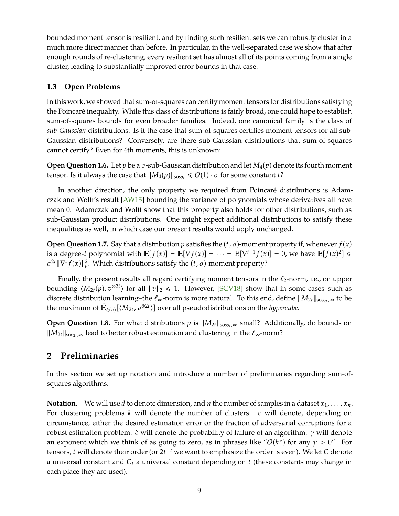<span id="page-9-1"></span>bounded moment tensor is resilient, and by finding such resilient sets we can robustly cluster in a much more direct manner than before. In particular, in the well-separated case we show that after enough rounds of re-clustering, every resilient set has almost all of its points coming from a single cluster, leading to substantially improved error bounds in that case.

# **1.3 Open Problems**

In this work, we showed that sum-of-squares can certify moment tensors for distributions satisfying the Poincaré inequality. While this class of distributions is fairly broad, one could hope to establish sum-of-squares bounds for even broader families. Indeed, one canonical family is the class of *sub-Gaussian* distributions. Is it the case that sum-of-squares certifies moment tensors for all sub-Gaussian distributions? Conversely, are there sub-Gaussian distributions that sum-of-squares cannot certify? Even for 4th moments, this is unknown:

**Open Question 1.6.** Let *p* be a  $\sigma$ -sub-Gaussian distribution and let  $M_4(p)$  denote its fourth moment tensor. Is it always the case that  $||M_4(p)||_{s_0s_{2t}} \le O(1) \cdot \sigma$  for some constant *t*?

In another direction, the only property we required from Poincaré distributions is Adamczak and Wolff's result [\[AW15\]](#page-27-8) bounding the variance of polynomials whose derivatives all have mean 0. Adamczak and Wolff show that this property also holds for other distributions, such as sub-Gaussian product distributions. One might expect additional distributions to satisfy these inequalities as well, in which case our present results would apply unchanged.

**Open Question 1.7.** Say that a distribution *p* satisfies the  $(t, \sigma)$ -moment property if, whenever  $f(x)$ is a degree-*t* polynomial with  $\mathbb{E}[f(x)] = \mathbb{E}[\nabla f(x)] = \cdots = \mathbb{E}[\nabla^{t-1} f(x)] = 0$ , we have  $\mathbb{E}[f(x)^2] \le$  $σ<sup>2t</sup> ||∇<sup>t</sup> f(x) ||<sup>2</sup><sub>F</sub>.$  Which distributions satisfy the (*t*, *σ*)-moment property?

Finally, the present results all regard certifying moment tensors in the  $\ell_2$ -norm, i.e., on upper bounding  $\langle M_{2t}(p), v^{\otimes 2t} \rangle$  for all  $||v||_2 \le 1$ . However, [\[SCV18\]](#page-29-4) show that in some cases–such as discrete distribution learning–the  $\ell_\infty$ -norm is more natural. To this end, define  $\|M_{2t}\|_{\mathrm{sos}_{2t},\infty}$  to be the maximum of  $\tilde{\mathbb{E}}_{\xi(v)}[\langle M_{2t}, v^{\otimes 2t}\rangle]$  over all pseudodistributions on the *hypercube*.

**Open Question 1.8.** For what distributions  $p$  is  $||M_{2t}||_{sos_{2t},\infty}$  small? Additionally, do bounds on  $\|M_{2t}\|_{\text{sos}_{2t}, \infty}$  lead to better robust estimation and clustering in the  $\ell_\infty$ -norm?

# <span id="page-9-0"></span>**2 Preliminaries**

In this section we set up notation and introduce a number of preliminaries regarding sum-ofsquares algorithms.

**Notation.** We will use *d* to denote dimension, and *n* the number of samples in a dataset  $x_1, \ldots, x_n$ . For clustering problems *k* will denote the number of clusters. ε will denote, depending on circumstance, either the desired estimation error or the fraction of adversarial corruptions for a robust estimation problem. δ will denote the probability of failure of an algorithm.  $γ$  will denote an exponent which we think of as going to zero, as in phrases like " $O(k^{\gamma})$  for any  $\gamma > 0$ ". For tensors, *t* will denote their order (or 2*t* if we want to emphasize the order is even). We let *C* denote a universal constant and *C<sup>t</sup>* a universal constant depending on *t* (these constants may change in each place they are used).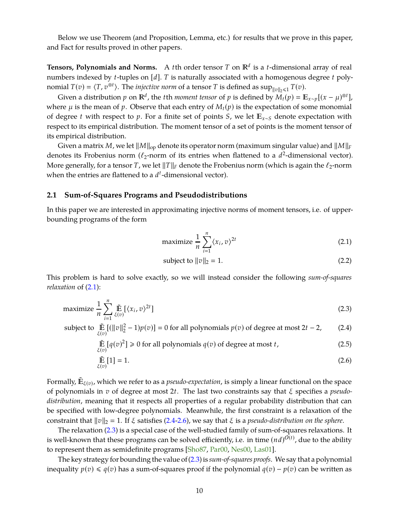<span id="page-10-4"></span>Below we use Theorem (and Proposition, Lemma, etc.) for results that we prove in this paper, and Fact for results proved in other papers.

**Tensors, Polynomials and Norms.** A *t*th order tensor T on  $\mathbb{R}^d$  is a *t*-dimensional array of real numbers indexed by *t*-tuples on [*d*]. *T* is naturally associated with a homogenous degree *t* polynomial  $T(v) = \langle T, v^{\otimes t} \rangle$ . The *injective norm* of a tensor *T* is defined as  $\sup_{\|v\|_2 \leq 1} T(v)$ .

Given a distribution  $p$  on  $\mathbb{R}^d$ , the *t*th *moment tensor* of  $p$  is defined by  $\tilde{M}_t(p) = \mathbb{E}_{x \sim p}[(x - \mu)^{\otimes t}]$ , where  $\mu$  is the mean of  $p$ . Observe that each entry of  $M_t(p)$  is the expectation of some monomial of degree *<sup>t</sup>* with respect to *<sup>p</sup>*. For a finite set of points *<sup>S</sup>*, we let *<sup>x</sup>*∼*<sup>S</sup>* denote expectation with respect to its empirical distribution. The moment tensor of a set of points is the moment tensor of its empirical distribution.

Given a matrix *M*, we let  $\|M\|_{\text{op}}$  denote its operator norm (maximum singular value) and  $\|M\|_{\text{F}}$ denotes its Frobenius norm ( $\ell_2$ -norm of its entries when flattened to a  $d^2$ -dimensional vector). More generally, for a tensor *T*, we let  $||T||_F$  denote the Frobenius norm (which is again the  $\ell_2$ -norm when the entries are flattened to a *d t* -dimensional vector).

#### **2.1 Sum-of-Squares Programs and Pseudodistributions**

In this paper we are interested in approximating injective norms of moment tensors, i.e. of upperbounding programs of the form

<span id="page-10-0"></span>
$$
\text{maximize } \frac{1}{n} \sum_{i=1}^{n} \langle x_i, v \rangle^{2t} \tag{2.1}
$$

<span id="page-10-3"></span><span id="page-10-2"></span><span id="page-10-1"></span>
$$
subject to ||v||_2 = 1.
$$
\n
$$
(2.2)
$$

This problem is hard to solve exactly, so we will instead consider the following *sum-of-squares relaxation* of  $(2.1)$ :

$$
\text{maximize } \frac{1}{n} \sum_{i=1}^{n} \tilde{\mathbb{E}} \left[ \langle x_i, v \rangle^{2t} \right] \tag{2.3}
$$

subject to  $\tilde{\mathbb{E}}$  $\tilde{\mathbb{E}} \left[ (||v||_2^2 - 1)p(v) \right] = 0$  for all polynomials  $p(v)$  of degree at most 2*t* − 2, (2.4)

$$
\tilde{\mathbb{E}}_{\xi(v)}[q(v)^2] \ge 0 \text{ for all polynomials } q(v) \text{ of degree at most } t,\tag{2.5}
$$

$$
\tilde{\mathbb{E}}_{\xi(v)}[1] = 1. \tag{2.6}
$$

Formally,  $\tilde{\mathbb{E}}_{\xi(v)}$ , which we refer to as a *pseudo-expectation*, is simply a linear functional on the space of polynomials in *v* of degree at most 2*t*. The last two constraints say that ξ specifies a *pseudodistribution*, meaning that it respects all properties of a regular probability distribution that can be specified with low-degree polynomials. Meanwhile, the first constraint is a relaxation of the constraint that  $\|v\|_2 = 1$ . If  $\xi$  satisfies [\(2.4-](#page-10-1)[2.6\)](#page-10-2), we say that  $\xi$  is a *pseudo-distribution on the sphere*.

The relaxation [\(2.3\)](#page-10-3) is a special case of the well-studied family of sum-of-squares relaxations. It is well-known that these programs can be solved efficiently, i.e. in time  $(nd)^{O(t)}$ , due to the ability to represent them as semidefinite programs [\[Sho87,](#page-29-6) [Par00,](#page-29-7) [Nes00,](#page-29-8) [Las01\]](#page-28-13).

The key strategy for bounding the value of [\(2.3\)](#page-10-3) is *sum-of-squares proofs*. We say that a polynomial inequality  $p(v)$  ≤  $q(v)$  has a sum-of-squares proof if the polynomial  $q(v) - p(v)$  can be written as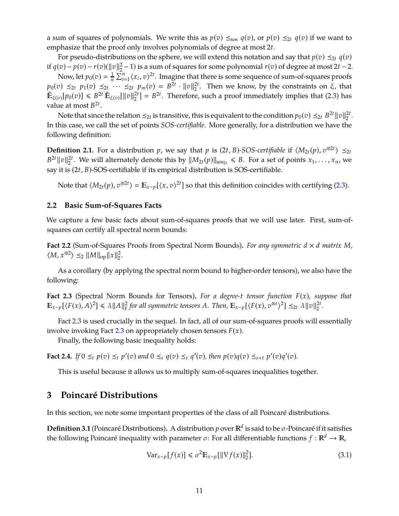a sum of squares of polynomials. We write this as  $p(v) \leq_{\text{so}} q(v)$ , or  $p(v) \leq_{2t} q(v)$  if we want to emphasize that the proof only involves polynomials of degree at most 2*t*.

For pseudo-distributions on the sphere, we will extend this notation and say that  $p(v) \leq_{2t} q(v)$ if  $q(v) - p(v) - r(v)$ (||v||2  $\frac{2}{2}$  − 1) is a sum of squares for some polynomial *r*(*v*) of degree at most 2*t* − 2.

Now, let  $p_0(v) = \frac{1}{n}$  $\frac{1}{n}\sum_{i=1}^{n}\langle x_i, v\rangle^{2t}$ . Imagine that there is some sequence of sum-of-squares proofs  $p_0(v) \leq_{2t} p_1(v) \leq_{2t} \cdots \leq_{2t} p_m(v) = B^{2t} \cdot ||v||_2^{2t}$ . Then we know, by the constraints on  $\xi$ , that  $\tilde{\mathbb{E}}_{\xi(v)}[p_0(v)] \leq B^{2t} \tilde{\mathbb{E}}_{\xi(v)}[\|v\|_2^{2t}] = B^{2t}$ . Therefore, such a proof immediately implies that [\(2.3\)](#page-10-3) has value at most *B* 2*t* .

Note that since the relation  $\leq_{2t}$  is transitive, this is equivalent to the condition  $p_0(v) \leq_{2t} B^{2t} ||v||_2^{2t}$ . In this case, we call the set of points *SOS-certifiable*. More generally, for a distribution we have the following definition:

**Definition 2.1.** For a distribution *p*, we say that *p* is  $(2t, B)$ *-SOS-certifiable* if  $\langle M_{2t}(p), v^{\otimes 2t} \rangle \leq_{2t}$  $B^{2t} \|v\|_2^{2t}$ . We will alternately denote this by  $\|M_{2t}(p)\|_{sos_{2t}} \le B$ . For a set of points  $x_1, \ldots, x_n$ , we say it is (2*t*, *B*)-SOS-certifiable if its empirical distribution is SOS-certifiable.

Note that  $\langle M_{2t}(p), v^{\otimes 2t} \rangle = \mathbb{E}_{x \sim p} [\langle x, v \rangle^{2t}]$  so that this definition coincides with certifying [\(2.3\)](#page-10-3).

### **2.2 Basic Sum-of-Squares Facts**

<span id="page-11-3"></span>We capture a few basic facts about sum-of-squares proofs that we will use later. First, sum-ofsquares can certify all spectral norm bounds:

**Fact 2.2** (Sum-of-Squares Proofs from Spectral Norm Bounds). For any symmetric  $d \times d$  matrix  $M$ ,  $\langle M, x^{\otimes 2} \rangle \leq_2 \|M\|_{\text{op}} \|x\|_2^2$  $\frac{2}{2}$ .

<span id="page-11-1"></span>As a corollary (by applying the spectral norm bound to higher-order tensors), we also have the following:

**Fact 2.3** (Spectral Norm Bounds for Tensors)**.** *For a degree-t tensor function F*(*x*)*, suppose that*  $\mathbb{E}_{x \sim p} [\langle F(x), A \rangle^2] \le \lambda \|A\|_F^2$  $\int_{F}^{2}$  *for all symmetric tensors A. Then,*  $\mathbb{E}_{x \sim p}[\langle F(x), v^{\otimes t} \rangle^{2}] \leq_{2t} \lambda ||v||_{2}^{2t}$ .

Fact [2.3](#page-11-1) is used crucially in the sequel. In fact, all of our sum-of-squares proofs will essentially involve invoking Fact [2.3](#page-11-1) on appropriately chosen tensors  $F(x)$ .

<span id="page-11-4"></span>Finally, the following basic inequality holds:

**Fact 2.4.** If  $0 \leq_t p(v) \leq_t p'(v)$  and  $0 \leq_s q(v) \leq_s q'(v)$ , then  $p(v)q(v) \leq_{s+t} p'(v)q'(v)$ .

This is useful because it allows us to multiply sum-of-squares inequalities together.

# <span id="page-11-0"></span>**3 Poincaré Distributions**

In this section, we note some important properties of the class of all Poincaré distributions.

**Definition 3.1** (Poincaré Distributions). A distribution  $p$  over  $\mathbb{R}^d$  is said to be  $\sigma$ -Poincaré if it satisfies the following Poincaré inequality with parameter  $\sigma$ : For all differentiable functions  $f : \mathbb{R}^d \to \mathbb{R}$ ,

<span id="page-11-2"></span>
$$
\text{Var}_{x \sim p}[f(x)] \leq \sigma^2 \mathbb{E}_{x \sim p}[\|\nabla f(x)\|_2^2].\tag{3.1}
$$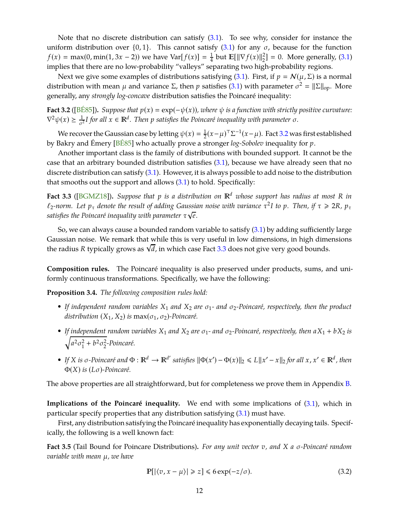<span id="page-12-3"></span>Note that no discrete distribution can satisfy  $(3.1)$ . To see why, consider for instance the uniform distribution over  $\{0, 1\}$ . This cannot satisfy  $(3.1)$  for any  $\sigma$ , because for the function  $f(x) = \max(0, \min(1, 3x - 2))$  we have  $\text{Var}[f(x)] = \frac{1}{4}$  $\frac{1}{4}$  but  $\mathbb{E}[\|\nabla f(x)\|_2^2] = 0$ . More generally, [\(3.1\)](#page-11-2) implies that there are no low-probability "valleys" separating two high-probability regions.

Next we give some examples of distributions satisfying [\(3.1\)](#page-11-2). First, if  $p = N(\mu, \Sigma)$  is a normal distribution with mean  $\mu$  and variance  $\Sigma$ , then  $p$  satisfies [\(3.1\)](#page-11-2) with parameter  $\sigma^2 = ||\Sigma||_{op}$ . More generally, any *strongly log-concave* distribution satisfies the Poincaré inequality:

<span id="page-12-2"></span>**Fact 3.2** ([\[BÉ85\]](#page-27-11)). *Suppose that*  $p(x) = \exp(-\psi(x))$ *, where*  $\psi$  *is a function with strictly positive curvature:*  $\nabla^2 \psi(x) \ge \frac{1}{\sigma^2} I$  for all  $x \in \mathbb{R}^d$ . Then p satisfies the Poincaré inequality with parameter  $\sigma$ .

We recover the Gaussian case by letting  $\psi(x) = \frac{1}{2}$ 2 (*x*−µ) ⊤Σ −1 (*x*−µ). Fact [3.2](#page-12-2) was first established by Bakry and Émery [\[BÉ85\]](#page-27-11) who actually prove a stronger *log-Sobolev* inequality for *p*.

Another important class is the family of distributions with bounded support. It cannot be the case that an arbitrary bounded distribution satisfies [\(3.1\)](#page-11-2), because we have already seen that no discrete distribution can satisfy [\(3.1\)](#page-11-2). However, it is always possible to add noise to the distribution that smooths out the support and allows  $(3.1)$  to hold. Specifically:

<span id="page-12-1"></span>**Fact 3.3** ([\[BGMZ18\]](#page-27-12)). Suppose that p is a distribution on  $\mathbb{R}^d$  whose support has radius at most R in  $\ell_2$ -norm. Let  $p_\tau$  denote the result of adding Gaussian noise with variance  $\tau^2 I$  to  $p$ . Then, if  $\tau \geqslant 2R$ ,  $p_\tau$ *satisfies the Poincaré inequality with parameter* τ √ *e.*

So, we can always cause a bounded random variable to satisfy [\(3.1\)](#page-11-2) by adding sufficiently large Gaussian noise. We remark that while this is very useful in low dimensions, in high dimensions the radius *<sup>R</sup>* typically grows as <sup>√</sup> *d*, in which case Fact [3.3](#page-12-1) does not give very good bounds.

<span id="page-12-4"></span>**Composition rules.** The Poincaré inequality is also preserved under products, sums, and uniformly continuous transformations. Specifically, we have the following:

**Proposition 3.4.** *The following composition rules hold:*

- *If independent random variables*  $X_1$  *and*  $X_2$  *are*  $\sigma_1$  *and*  $\sigma_2$ *-Poincaré, respectively, then the product distribution*  $(X_1, X_2)$  *is* max $(\sigma_1, \sigma_2)$ *-Poincaré.*
- *If independent random variables*  $X_1$  *and*  $X_2$  *are*  $\sigma_1$  *and*  $\sigma_2$ *-Poincaré, respectively, then*  $aX_1 + bX_2$  *is*  $\sqrt{a^2 \sigma_1^2}$  $_1^2 + b^2 \sigma_2^2$ 2 *-Poincaré.*
- If X is  $\sigma$ -Poincaré and  $\Phi : \mathbb{R}^d \to \mathbb{R}^{d'}$  satisfies  $\|\Phi(x') \Phi(x)\|_2 \le L \|x' x\|_2$  for all  $x, x' \in \mathbb{R}^d$ , then <sup>Φ</sup>(*X*) *is* (*L*σ)*-Poincaré.*

The above properties are all straightforward, but for completeness we prove them in Appendix [B.](#page-30-0)

**Implications of the Poincaré inequality.** We end with some implications of [\(3.1\)](#page-11-2), which in particular specify properties that any distribution satisfying  $(3.1)$  must have.

<span id="page-12-0"></span>First, any distribution satisfying the Poincaré inequality has exponentially decaying tails. Specifically, the following is a well known fact:

**Fact 3.5** (Tail Bound for Poincare Distributions)**.** *For any unit vector v, and X a* σ*-Poincaré random variable with mean* µ*, we have*

$$
\mathbb{P}[|\langle v, x - \mu \rangle| \geq z] \leq 6 \exp(-z/\sigma). \tag{3.2}
$$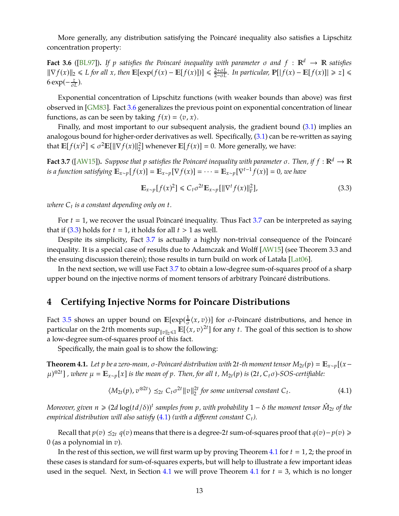<span id="page-13-5"></span><span id="page-13-0"></span>More generally, any distribution satisfying the Poincaré inequality also satisfies a Lipschitz concentration property:

**Fact 3.6** ([\[BL97\]](#page-28-14)). If *p* satisfies the Poincaré inequality with parameter  $\sigma$  and  $f : \mathbb{R}^d \to \mathbb{R}$  satisfies  $\|\nabla f(x)\|_2 \le L$  *for all*  $x$ *, then*  $\mathbb{E}[\exp(f(x) - \mathbb{E}[f(x)])] \le \frac{2+\sigma L}{2-\sigma L}$  $\frac{2+ \sigma L}{2- \sigma L}$ *. In particular,*  $\mathbb{P}[ | f(x) - \mathbb{E}[f(x)] | \ge z ] \le$  $6 \exp(-\frac{z}{\sigma L})$ .

Exponential concentration of Lipschitz functions (with weaker bounds than above) was first observed in [\[GM83\]](#page-28-15). Fact [3.6](#page-13-0) generalizes the previous point on exponential concentration of linear functions, as can be seen by taking  $f(x) = \langle v, x \rangle$ .

Finally, and most important to our subsequent analysis, the gradient bound [\(3.1\)](#page-11-2) implies an analogous bound for higher-order derivatives as well. Specifically, [\(3.1\)](#page-11-2) can be re-written as saying that  $\mathbb{E}[f(x)^2] \le \sigma^2 \mathbb{E}[||\nabla f(x)||_2^2]$  whenever  $\mathbb{E}[f(x)] = 0$ . More generally, we have:

<span id="page-13-1"></span>**Fact 3.7** ([\[AW15\]](#page-27-8)). *Suppose that p satisfies the Poincaré inequality with parameter*  $\sigma$ *. Then, if*  $f : \mathbb{R}^d \to \mathbb{R}$ *is a function satisfying*  $\mathbb{E}_{x \sim p}[f(x)] = \mathbb{E}_{x \sim p}[\nabla f(x)] = \cdots = \mathbb{E}_{x \sim p}[\nabla^{t-1} f(x)] = 0$ , we have

<span id="page-13-2"></span>
$$
\mathbb{E}_{x \sim p}[f(x)^2] \leq C_t \sigma^{2t} \mathbb{E}_{x \sim p}[\|\nabla^t f(x)\|_F^2],\tag{3.3}
$$

*where C<sup>t</sup> is a constant depending only on t.*

For  $t = 1$ , we recover the usual Poincaré inequality. Thus Fact [3.7](#page-13-1) can be interpreted as saying that if  $(3.3)$  holds for  $t = 1$ , it holds for all  $t > 1$  as well.

Despite its simplicity, Fact [3.7](#page-13-1) is actually a highly non-trivial consequence of the Poincaré inequality. It is a special case of results due to Adamczak and Wolff [\[AW15\]](#page-27-8) (see Theorem 3.3 and the ensuing discussion therein); those results in turn build on work of Latała [\[Lat06\]](#page-28-12).

In the next section, we will use Fact [3.7](#page-13-1) to obtain a low-degree sum-of-squares proof of a sharp upper bound on the injective norms of moment tensors of arbitrary Poincaré distributions.

## **4 Certifying Injective Norms for Poincare Distributions**

Fact [3.5](#page-12-0) shows an upper bound on  $\mathbb{E}[\exp(\frac{1}{\sigma})]$  $\frac{1}{\sigma}\langle x,v\rangle$ ] for *σ*-Poincaré distributions, and hence in particular on the 2*t*th moments  $\sup_{\|v\|_2 \leq 1} E[\langle x, v \rangle^{2t}]$  for any *t*. The goal of this section is to show a low-degree sum-of-squares proof of this fact.

<span id="page-13-4"></span>Specifically, the main goal is to show the following:

**Theorem 4.1.** Let *p* be a zero-mean,  $\sigma$ -Poincaré distribution with 2t-th moment tensor  $M_{2t}(p) = \mathbb{E}_{x \sim p}[(x-p)^2]$  $\mu$ )<sup> $\otimes$ 2t</sup>], where  $\mu = \mathbb{E}_{x \sim p}[x]$  is the mean of p. Then, for all t,  $M_{2t}(p)$  is  $(2t, C_t \sigma)$ -SOS-certifiable:

<span id="page-13-3"></span>
$$
\langle M_{2t}(p), v^{\otimes 2t} \rangle \leq_{2t} C_t \sigma^{2t} ||v||_2^{2t} \text{ for some universal constant } C_t. \tag{4.1}
$$

 $M$ oreover, given  $n \geqslant (2d\log(td/\delta))^t$  samples from  $p$  , with probability  $1-\delta$  the moment tensor  $\hat{M}_{2t}$  of the *empirical distribution will also satisfy* [\(4.1\)](#page-13-3) *(with a different constant Ct).*

*Recall that*  $p(v)$  *≤<sub>2t</sub>*  $q(v)$  *means that there is a degree-2<i>t* sum-of-squares proof that  $q(v) - p(v)$  ≥ 0 (as a polynomial in *v*).

In the rest of this section, we will first warm up by proving Theorem [4.1](#page-13-4) for  $t = 1, 2$ ; the proof in these cases is standard for sum-of-squares experts, but will help to illustrate a few important ideas used in the sequel. Next, in Section [4.1](#page-13-4) we will prove Theorem 4.1 for  $t = 3$ , which is no longer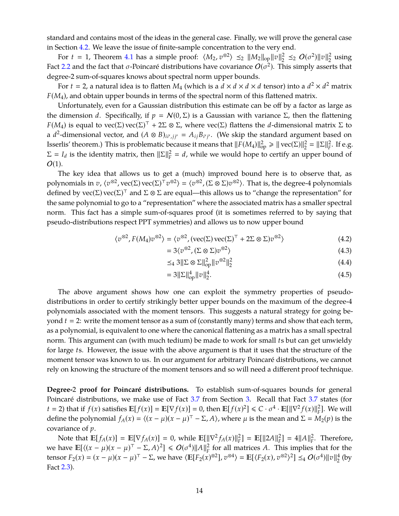standard and contains most of the ideas in the general case. Finally, we will prove the general case in Section [4.2.](#page-16-0) We leave the issue of finite-sample concentration to the very end.

For *t* = 1, Theorem [4.1](#page-13-4) has a simple proof:  $\langle M_2, v^{\otimes 2} \rangle \preceq_2 ||M_2||_{op} ||v||_2^2$  $2^2$  ≤<sub>2</sub> *O*(σ<sup>2</sup>)∥v||<sup>2</sup><sub>2</sub>  $\frac{2}{2}$  using Fact [2.2](#page-11-3) and the fact that  $\sigma$ -Poincaré distributions have covariance  $O(\sigma^2)$ . This simply asserts that degree-2 sum-of-squares knows about spectral norm upper bounds.

For  $t = 2$ , a natural idea is to flatten  $M_4$  (which is a  $d \times d \times d \times d$  tensor) into a  $d^2 \times d^2$  matrix *F*(*M*4), and obtain upper bounds in terms of the spectral norm of this flattened matrix.

Unfortunately, even for a Gaussian distribution this estimate can be off by a factor as large as the dimension *d*. Specifically, if  $p = N(0, \Sigma)$  is a Gaussian with variance  $\Sigma$ , then the flattening *F*(*M*<sub>4</sub>) is equal to vec(Σ) vec(Σ)<sup>⊤</sup> + 2Σ ⊗ Σ, where vec(Σ) flattens the *d*-dimensional matrix Σ to a  $d^2$ -dimensional vector, and  $(A \otimes B)_{ii',jj'} = A_{ij}B_{i'j'}$ . (We skip the standard argument based on Isserlis' theorem.) This is problematic because it means that  $||F(M_4)||_{op}^2 \ge ||\text{vec}(\Sigma)||_2^2 = ||\Sigma||_F^2$  $_F^2$ . If e.g.  $\Sigma = I_d$  is the identity matrix, then  $||\Sigma||_F^2$  $\frac{2}{F}$  = *d*, while we would hope to certify an upper bound of  $O(1)$ .

The key idea that allows us to get a (much) improved bound here is to observe that, as polynomials in *v*,  $\langle v^{\otimes 2}, vec(\Sigma) vec(\Sigma)^T v^{\otimes 2} \rangle = \langle v^{\otimes 2}, (\Sigma \otimes \Sigma) v^{\otimes 2} \rangle$ . That is, the degree-4 polynomials defined by  $\text{vec}(\Sigma) \text{vec}(\Sigma)^T$  and  $\Sigma \otimes \Sigma$  are equal—this allows us to "change the representation" for the same polynomial to go to a "representation" where the associated matrix has a smaller spectral norm. This fact has a simple sum-of-squares proof (it is sometimes referred to by saying that pseudo-distributions respect PPT symmetries) and allows us to now upper bound

$$
\langle v^{\otimes 2}, F(M_4)v^{\otimes 2} \rangle = \langle v^{\otimes 2}, (\text{vec}(\Sigma) \text{vec}(\Sigma)^{\top} + 2\Sigma \otimes \Sigma)v^{\otimes 2} \rangle \tag{4.2}
$$

$$
=3\langle v^{\otimes 2}, (\Sigma \otimes \Sigma)v^{\otimes 2} \rangle \tag{4.3}
$$

$$
\leq_4 3 \|\Sigma \otimes \Sigma\|_{\text{op}}^2 \|v^{\otimes 2}\|_2^2 \tag{4.4}
$$

$$
=3\|\Sigma\|_{op}^4\|v\|_2^4.\tag{4.5}
$$

The above argument shows how one can exploit the symmetry properties of pseudodistributions in order to certify strikingly better upper bounds on the maximum of the degree-4 polynomials associated with the moment tensors. This suggests a natural strategy for going beyond *t* 2: write the moment tensor as a sum of (constantly many) terms and show that each term, as a polynomial, is equivalent to one where the canonical flattening as a matrix has a small spectral norm. This argument can (with much tedium) be made to work for small *t*s but can get unwieldy for large *t*s. However, the issue with the above argument is that it uses that the structure of the moment tensor was known to us. In our argument for arbitrary Poincaré distributions, we cannot rely on knowing the structure of the moment tensors and so will need a different proof technique.

**Degree-**2 **proof for Poincaré distributions.** To establish sum-of-squares bounds for general Poincaré distributions, we make use of Fact [3.7](#page-13-1) from Section [3.](#page-11-0) Recall that Fact [3.7](#page-13-1) states (for *t* = 2) that if  $f(x)$  satisfies  $\mathbb{E}[f(x)] = \mathbb{E}[\nabla f(x)] = 0$ , then  $\mathbb{E}[f(x)^2] \leq C \cdot \sigma^4 \cdot \mathbb{E}[\|\nabla^2 f(x)\|_F^2]$ . We will define the polynomial  $f_A(x) = \langle (x - \mu)(x - \mu)^T - \Sigma, A \rangle$ , where  $\mu$  is the mean and  $\Sigma = M_2(p)$  is the covariance of *p*.

Note that  $\mathbb{E}[f_A(x)] = \mathbb{E}[\nabla f_A(x)] = 0$ , while  $\mathbb{E}[\|\nabla^2 f_A(x)\|_F^2] = \mathbb{E}[\|2A\|_F^2]$  $_{F}^{2}$ ] = 4||A|| $_{F}^{2}$  $\frac{2}{F}$ . Therefore, we have  $\mathbb{E}[\langle (x - \mu)(x - \mu)^{\top} - \Sigma, A \rangle^2] \le O(\sigma^4) ||A||_F^2$  $\frac{2}{F}$  for all matrices *A*. This implies that for the tensor  $F_2(x) = (x - \mu)(x - \mu)^{\top} - \Sigma$ , we have  $\langle \mathbb{E}[F_2(x)^{\otimes 2}], v^{\otimes 4} \rangle = \mathbb{E}[\langle F_2(x), v^{\otimes 2} \rangle^2] \leq_4 O(\sigma^4) ||v||_2^4$  $\frac{4}{2}$  (by Fact [2.3\)](#page-11-1).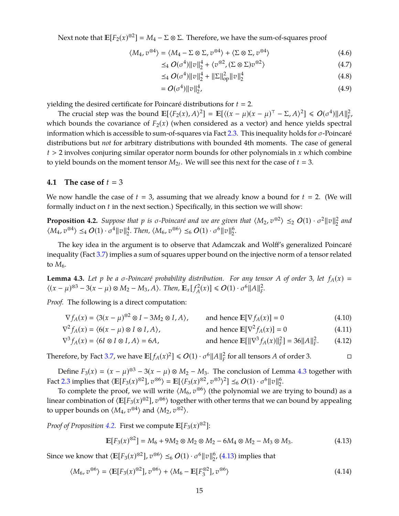Next note that  $\mathbb{E}[F_2(x)^{\otimes 2}] = M_4 - \Sigma \otimes \Sigma$ . Therefore, we have the sum-of-squares proof

$$
\langle M_4, v^{\otimes 4} \rangle = \langle M_4 - \Sigma \otimes \Sigma, v^{\otimes 4} \rangle + \langle \Sigma \otimes \Sigma, v^{\otimes 4} \rangle \tag{4.6}
$$

$$
\leq_4 O(\sigma^4) \|v\|_2^4 + \langle v^{\otimes 2}, (\Sigma \otimes \Sigma) v^{\otimes 2} \rangle \tag{4.7}
$$

$$
\leq_{4} O(\sigma^{4}) \|v\|_{2}^{4} + \|\Sigma\|_{\text{op}}^{2} \|v\|_{2}^{4}
$$
\n(4.8)

$$
= O(\sigma^4) \|v\|_2^4, \tag{4.9}
$$

yielding the desired certificate for Poincaré distributions for  $t = 2$ .

The crucial step was the bound  $\mathbb{E}[\langle F_2(x), A \rangle^2] = \mathbb{E}[\langle (x - \mu)(x - \mu)^{\top} - \Sigma, A \rangle^2] \le O(\sigma^4) ||A||_F^2$ *F* , which bounds the covariance of  $F_2(x)$  (when considered as a vector) and hence yields spectral information which is accessible to sum-of-squares via Fact [2.3.](#page-11-1) This inequality holds for  $\sigma$ -Poincaré distributions but *not* for arbitrary distributions with bounded 4th moments. The case of general *t* > 2 involves conjuring similar operator norm bounds for other polynomials in *x* which combine to yield bounds on the moment tensor  $M_{2t}$ . We will see this next for the case of  $t = 3$ .

### <span id="page-15-0"></span>**4.1** The case of  $t = 3$

<span id="page-15-2"></span>We now handle the case of  $t = 3$ , assuming that we already know a bound for  $t = 2$ . (We will formally induct on *t* in the next section.) Specifically, in this section we will show:

**Proposition 4.2.** *Suppose that p is*  $\sigma$ *-Poincaré and we are given that*  $\langle M_2, v^{\otimes 2} \rangle \leq_2 O(1) \cdot \sigma^2 ||v||_2^2$ 2 *and*  $\langle M_4, v^{\otimes 4} \rangle \leq 4 O(1) \cdot \sigma^4 ||v||_2^4$  $\frac{4}{2}$ . *Then,*  $\langle M_6, v^{\otimes 6} \rangle \leq_6 O(1) \cdot \sigma^6 ||v||_2^6$  $\frac{6}{2}$ 

The key idea in the argument is to observe that Adamczak and Wolff's generalized Poincaré inequality (Fact [3.7\)](#page-13-1) implies a sum of squares upper bound on the injective norm of a tensor related to  $M_6$ .

<span id="page-15-1"></span>**Lemma 4.3.** Let p be a  $\sigma$ -Poincaré probability distribution. For any tensor A of order 3, let  $f_A(x)$  =  $\langle (x - \mu)^{\otimes 3} - 3(x - \mu) \otimes M_2 - M_3, A \rangle$ . Then,  $\mathbb{E}_x[f_A^2]$  $\mathcal{O}(2^{2}(x)) \leq O(1) \cdot \sigma^{6} ||A||_{F}^{2}$ *F .*

*Proof.* The following is a direct computation:

$$
\nabla^2 f_A(x) = \langle 6(x - \mu) \otimes I \otimes I, A \rangle, \qquad \text{and hence } \mathbb{E}[\nabla^2 f_A(x)] = 0 \tag{4.11}
$$

 $\nabla^3 f_A(x) = \langle 6I \otimes I \otimes I, A \rangle = 6A,$  and hence  $\mathbb{E}[\|\nabla^3 f_A(x)\|_F^2] = 36\|A\|_F^2$ *F*  $(4.12)$ 

Therefore, by Fact [3.7,](#page-13-1) we have  $\mathbb{E}[f_A(x)^2] \le O(1) \cdot \sigma^6 ||A||_F^2$  $\frac{2}{F}$  for all tensors *A* of order 3.

Define  $F_3(x) = (x - \mu)^{\otimes 3} - 3(x - \mu) \otimes M_2 - M_3$ . The conclusion of Lemma [4.3](#page-15-1) together with Fact [2.3](#page-11-1) implies that  $\langle \mathbb{E}[F_3(x)^{\otimes 2}], v^{\otimes 6} \rangle = \mathbb{E}[\langle F_3(x)^{\otimes 2}, v^{\otimes 3} \rangle^2] \leq_6 O(1) \cdot \sigma^6 ||v||_2^6$  $\frac{6}{2}$ .

To complete the proof, we will write  $\langle M_6, v^{86} \rangle$  (the polynomial we are trying to bound) as a linear combination of  $\langle E[F_3(x)^{\otimes 2}], v^{\otimes 6} \rangle$  together with other terms that we can bound by appealing to upper bounds on  $\langle M_4, v^{\otimes 4} \rangle$  and  $\langle M_2, v^{\otimes 2} \rangle$ .

*Proof of Proposition [4.2.](#page-15-2)* First we compute  $\mathbb{E}[F_3(x)^{\otimes 2}]$ :

<span id="page-15-3"></span>
$$
\mathbb{E}[F_3(x)^{\otimes 2}] = M_6 + 9M_2 \otimes M_2 \otimes M_2 - 6M_4 \otimes M_2 - M_3 \otimes M_3. \tag{4.13}
$$

Since we know that  $\langle \mathbb{E}[F_3(x)^{\otimes 2}], v^{\otimes 6} \rangle \leq_6 O(1) \cdot \sigma^6 ||v||_2^6$  $2^6$ , [\(4.13\)](#page-15-3) implies that

$$
\langle M_6, v^{\otimes 6} \rangle = \langle \mathbb{E}[F_3(x)^{\otimes 2}], v^{\otimes 6} \rangle + \langle M_6 - \mathbb{E}[F_3^{\otimes 2}], v^{\otimes 6} \rangle \tag{4.14}
$$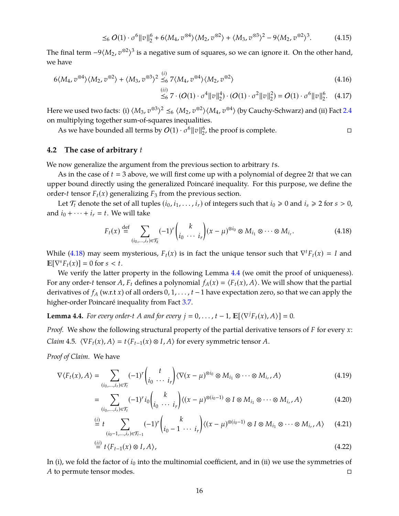$$
\leq_6 O(1) \cdot \sigma^6 \|v\|_2^6 + 6\langle M_4, v^{\otimes 4}\rangle \langle M_2, v^{\otimes 2}\rangle + \langle M_3, v^{\otimes 3}\rangle^2 - 9\langle M_2, v^{\otimes 2}\rangle^3. \tag{4.15}
$$

The final term  $-9\langle M_2, v^{\otimes 2}\rangle^3$  is a negative sum of squares, so we can ignore it. On the other hand, we have

$$
6\langle M_4, v^{\otimes 4}\rangle \langle M_2, v^{\otimes 2}\rangle + \langle M_3, v^{\otimes 3}\rangle^2 \stackrel{(i)}{\leq_6} 7\langle M_4, v^{\otimes 4}\rangle \langle M_2, v^{\otimes 2}\rangle
$$
\n
$$
\tag{4.16}
$$

$$
\stackrel{(ii)}{\leq_6} 7 \cdot (O(1) \cdot \sigma^4 ||v||_2^4) \cdot (O(1) \cdot \sigma^2 ||v||_2^2) = O(1) \cdot \sigma^6 ||v||_2^6. \tag{4.17}
$$

Here we used two facts: (i)  $\langle M_3, v^{\otimes 3} \rangle^2 \leq_6 \langle M_2, v^{\otimes 2} \rangle \langle M_4, v^{\otimes 4} \rangle$  (by Cauchy-Schwarz) and (ii) Fact [2.4](#page-11-4) on multiplying together sum-of-squares inequalities.

As we have bounded all terms by  $O(1) \cdot \sigma^6 ||v||_2^6$  $_2^6$ , the proof is complete.

### <span id="page-16-0"></span>**4.2 The case of arbitrary** *t*

We now generalize the argument from the previous section to arbitrary *t*s.

As in the case of  $t = 3$  above, we will first come up with a polynomial of degree 2t that we can upper bound directly using the generalized Poincaré inequality. For this purpose, we define the order-*t* tensor  $F_t(x)$  generalizing  $F_3$  from the previous section.

Let  $\mathcal{T}_t$  denote the set of all tuples  $(i_0, i_1, \ldots, i_r)$  of integers such that  $i_0 \ge 0$  and  $i_s \ge 2$  for  $s > 0$ , and  $i_0 + \cdots + i_r = t$ . We will take

<span id="page-16-1"></span>
$$
F_t(x) \stackrel{\text{def}}{=} \sum_{(i_0,\ldots,i_r)\in\mathcal{T}_k} (-1)^r {k \choose i_0 \cdots i_r} (x-\mu)^{\otimes i_0} \otimes M_{i_1} \otimes \cdots \otimes M_{i_r}.
$$
 (4.18)

While [\(4.18\)](#page-16-1) may seem mysterious,  $F_t(x)$  is in fact the unique tensor such that  $\nabla^t F_t(x) = I$  and  $\mathbb{E}[\nabla^s F_t(x)] = 0$  for  $s < t$ .

We verify the latter property in the following Lemma  $4.4$  (we omit the proof of uniqueness). For any order-*t* tensor *A*,  $F_t$  defines a polynomial  $f_A(x) = \langle F_t(x), A \rangle$ . We will show that the partial derivatives of *f<sup>A</sup>* (w.r.t *x*) of all orders 0, 1, . . . , *t* −1 have expectation zero, so that we can apply the higher-order Poincaré inequality from Fact [3.7.](#page-13-1)

<span id="page-16-2"></span>**Lemma 4.4.** *For every order-t A and for every*  $j = 0, \ldots, t - 1$ ,  $\mathbb{E}[\langle \nabla^j F_t(x), A \rangle] = 0$ .

<span id="page-16-3"></span>*Proof.* We show the following structural property of the partial derivative tensors of *F* for every *x*: *Claim* 4.5*.*  $\langle \nabla F_t(x), A \rangle = t \langle F_{t-1}(x) \otimes I, A \rangle$  for every symmetric tensor *A*.

*Proof of Claim.* We have

$$
\nabla \langle F_t(x), A \rangle = \sum_{(i_0, \dots, i_r) \in \mathcal{T}_t} (-1)^r \binom{t}{i_0 \cdots i_r} \langle \nabla (x - \mu)^{\otimes i_0} \otimes M_{i_1} \otimes \cdots \otimes M_{i_r}, A \rangle \tag{4.19}
$$

$$
= \sum_{(i_0,\ldots,i_r)\in\mathcal{T}_t} (-1)^r i_0 \binom{k}{i_0\cdots i_r} \langle (x-\mu)^{\otimes (i_0-1)} \otimes I \otimes M_{i_1} \otimes \cdots \otimes M_{i_r}, A \rangle \tag{4.20}
$$

$$
\stackrel{(i)}{=} t \sum_{(i_0-1,\ldots,i_r)\in\mathcal{T}_{t-1}} (-1)^r {k \choose i_0-1\cdots i_r} \langle (x-\mu)^{\otimes (i_0-1)} \otimes I \otimes M_{i_1} \otimes \cdots \otimes M_{i_r}, A \rangle \qquad (4.21)
$$

$$
\stackrel{(ii)}{=} t \langle F_{t-1}(x) \otimes I, A \rangle, \tag{4.22}
$$

In (i), we fold the factor of *i*<sup>0</sup> into the multinomial coefficient, and in (ii) we use the symmetries of *A* to permute tensor modes.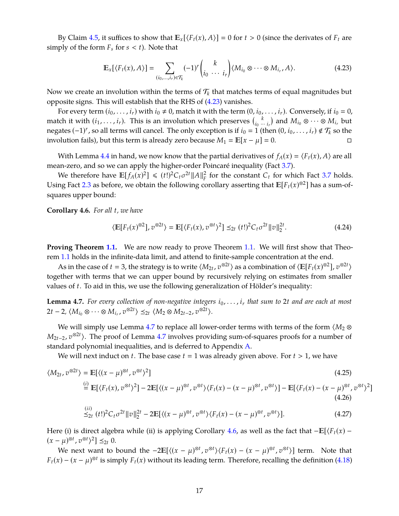By Claim [4.5,](#page-16-3) it suffices to show that  $\mathbb{E}_x[\langle F_t(x), A \rangle] = 0$  for  $t > 0$  (since the derivates of  $F_t$  are simply of the form  $F_s$  for  $s < t$ ). Note that

<span id="page-17-0"></span>
$$
\mathbb{E}_x[\langle F_t(x), A \rangle] = \sum_{(i_0, \dots, i_r) \in \mathcal{T}_k} (-1)^r {k \choose i_0 \ \cdots \ i_r} \langle M_{i_0} \otimes \cdots \otimes M_{i_r}, A \rangle.
$$
 (4.23)

Now we create an involution within the terms of  $\mathcal{T}_k$  that matches terms of equal magnitudes but opposite signs. This will establish that the RHS of [\(4.23\)](#page-17-0) vanishes.

For every term  $(i_0, \ldots, i_r)$  with  $i_0 \neq 0$ , match it with the term  $(0, i_0, \ldots, i_r)$ . Conversely, if  $i_0 = 0$ , match it with  $(i_1, \ldots, i_r)$ . This is an involution which preserves  $\binom{k}{i_0}$ .  $\binom{k}{i_0 \cdots i_r}$  and  $M_{i_0} \otimes \cdots \otimes M_{i_r}$  but negates  $(-1)^r$ , so all terms will cancel. The only exception is if  $i_0 = 1$  (then  $(0, i_0, ..., i_r) \notin T_k$  so the involution fails), but this term is already zero because  $M_1 = \mathbb{E}[x - \mu] = 0$ . □

With Lemma [4.4](#page-16-2) in hand, we now know that the partial derivatives of  $f_A(x) = \langle F_t(x), A \rangle$  are all mean-zero, and so we can apply the higher-order Poincaré inequality (Fact [3.7\)](#page-13-1).

We therefore have  $\mathbb{E}[f_A(x)^2] \leq (t!)^2 C_t \sigma^{2t} ||A||_F^2$  $\frac{2}{F}$  for the constant  $C_t$  for which Fact [3.7](#page-13-1) holds. Using Fact [2.3](#page-11-1) as before, we obtain the following corollary asserting that  $\mathbb{E}[F_t(x)^{\otimes 2}]$  has a sum-ofsquares upper bound:

<span id="page-17-2"></span>**Corollary 4.6.** *For all t, we have*

$$
\langle \mathbb{E}[F_t(x)^{\otimes 2}], v^{\otimes 2t} \rangle = \mathbb{E}[\langle F_t(x), v^{\otimes t} \rangle^2] \leq_{2t} (t!)^2 C_t \sigma^{2t} ||v||_2^{2t}.
$$
 (4.24)

**Proving Theorem [1.1.](#page-3-0)** We are now ready to prove Theorem 1.1. We will first show that Theorem [1.1](#page-3-0) holds in the infinite-data limit, and attend to finite-sample concentration at the end.

As in the case of  $t = 3$ , the strategy is to write  $\langle M_{2t}, v^{\otimes 2t} \rangle$  as a combination of  $\langle \mathbb{E}[F_t(x)^{\otimes 2}], v^{\otimes 2t} \rangle$ together with terms that we can upper bound by recursively relying on estimates from smaller values of *t*. To aid in this, we use the following generalization of Hölder's inequality:

<span id="page-17-1"></span>**Lemma 4.7.** For every collection of non-negative integers  $i_0, \ldots, i_r$  that sum to 2*t* and are each at most  $2t - 2$ ,  $\langle M_{i_0} \otimes \cdots \otimes M_{i_r}, v^{\otimes 2t} \rangle \leq_{2t} \langle M_2 \otimes M_{2t-2}, v^{\otimes 2t} \rangle.$ 

We will simply use Lemma [4.7](#page-17-1) to replace all lower-order terms with terms of the form  $\langle M_2 \otimes$ *M*<sub>2*t*−2</sub>, *v*<sup>⊗2*t*</sup>). The proof of Lemma [4.7](#page-17-1) involves providing sum-of-squares proofs for a number of standard polynomial inequalities, and is deferred to Appendix [A.](#page-29-9)

We will next induct on *t*. The base case  $t = 1$  was already given above. For  $t > 1$ , we have

$$
\langle M_{2t}, v^{\otimes 2t} \rangle = \mathbb{E}[\langle (x - \mu)^{\otimes t}, v^{\otimes t} \rangle^2]
$$
\n
$$
\stackrel{(i)}{=} \mathbb{E}[\langle F_t(x), v^{\otimes t} \rangle^2] - 2\mathbb{E}[\langle (x - \mu)^{\otimes t}, v^{\otimes t} \rangle \langle F_t(x) - (x - \mu)^{\otimes t}, v^{\otimes t} \rangle] - \mathbb{E}[\langle F_t(x) - (x - \mu)^{\otimes t}, v^{\otimes t} \rangle
$$
\n
$$
\stackrel{(ii)}{=} \langle F_t(x), v^{\otimes t} \rangle^2
$$
\n
$$
\stackrel{(iii)}{=} \langle F_t(x), v^{\otimes t} \rangle^2
$$
\n
$$
\stackrel{(iv)}{=} \langle F_t(x), v^{\otimes t} \rangle^2
$$
\n
$$
\stackrel{(iv)}{=} \langle F_t(x), v^{\otimes t} \rangle^2
$$
\n
$$
\stackrel{(v)}{=} \langle F_t(x), v^{\otimes t} \rangle^2
$$
\n
$$
\stackrel{(v)}{=} \langle F_t(x), v^{\otimes t} \rangle^2
$$
\n
$$
\stackrel{(v)}{=} \langle F_t(x), v^{\otimes t} \rangle^2
$$
\n
$$
\stackrel{(v)}{=} \langle F_t(x), v^{\otimes t} \rangle^2
$$
\n
$$
\stackrel{(v)}{=} \langle F_t(x), v^{\otimes t} \rangle^2
$$
\n
$$
\stackrel{(v)}{=} \langle F_t(x), v^{\otimes t} \rangle^2
$$
\n
$$
\stackrel{(v)}{=} \langle F_t(x), v^{\otimes t} \rangle^2
$$
\n
$$
\stackrel{(v)}{=} \langle F_t(x), v^{\otimes t} \rangle^2
$$
\n
$$
\stackrel{(v)}{=} \langle F_t(x), v^{\otimes t} \rangle^2
$$
\n
$$
\stackrel{(v)}{=} \langle F_t(x), v^{\otimes t} \rangle^2
$$
\n
$$
\stackrel{(v)}{=} \langle F_t(x), v^{\otimes t} \rangle^2
$$
\n
$$
\stackrel{(v)}{=} \langle F_t(x), v^{\otimes t} \rangle^2
$$
\n
$$
\stackrel{(v)}{=} \langle F_t(x), v^{\otimes t} \rangle^
$$

$$
\leq_{2t}^{(t)} (t!)^2 C_t \sigma^{2t} \|v\|_2^{2t} - 2\mathbb{E}[\langle (x - \mu)^{\otimes t}, v^{\otimes t} \rangle \langle F_t(x) - (x - \mu)^{\otimes t}, v^{\otimes t} \rangle]. \tag{4.27}
$$

<span id="page-17-3"></span>2 ]

Here (i) is direct algebra while (ii) is applying Corollary [4.6,](#page-17-2) as well as the fact that  $-\mathbb{E}[\langle F_t(x) (x - \mu)^{\otimes t}$ ,  $v^{\otimes t}$ <sup>2</sup>] ≤<sub>2t</sub> 0.

We next want to bound the  $-2\mathbb{E}[\langle (x - \mu)^{\otimes t}, v^{\otimes t} \rangle \langle F_t(x) - (x - \mu)^{\otimes t}, v^{\otimes t} \rangle]$  term. Note that  $F_t(x) - (x - \mu)^{\otimes t}$  is simply  $F_t(x)$  without its leading term. Therefore, recalling the definition [\(4.18\)](#page-16-1)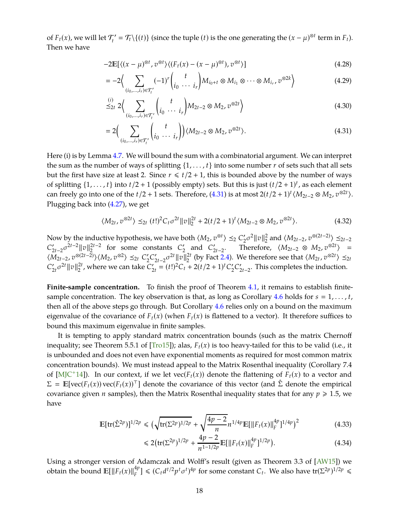<span id="page-18-1"></span>of  $F_t(x)$ , we will let  $\mathcal{T}'_t = \mathcal{T}_t \setminus \{(t)\}$  (since the tuple  $(t)$  is the one generating the  $(x - \mu)^{\otimes t}$  term in  $F_t$ ). Then we have

$$
-2\mathbb{E}[\langle (x-\mu)^{\otimes t}, v^{\otimes t} \rangle \langle (F_t(x)-(x-\mu)^{\otimes t}), v^{\otimes t} \rangle] \tag{4.28}
$$

$$
= -2\Big\langle \sum_{(i_0,\ldots,i_r)\in \mathcal{T}'_t} (-1)^r \binom{t}{i_0\cdots i_r} M_{i_0+t} \otimes M_{i_1} \otimes \cdots \otimes M_{i_r}, v^{\otimes 2k} \Big\rangle \tag{4.29}
$$

<span id="page-18-0"></span>
$$
\stackrel{(i)}{\leq} 2 \Big\langle \sum_{(i_0, \ldots, i_r) \in \mathcal{T}'_t} \binom{t}{i_0 \cdots i_r} M_{2t-2} \otimes M_2, v^{\otimes 2t} \Big\rangle \tag{4.30}
$$

$$
=2\Big(\sum_{(i_0,\ldots,i_r)\in\mathcal{T}'_t}\binom{t}{i_0\cdots i_r}\Big)\langle M_{2t-2}\otimes M_2,\,v^{\otimes 2t}\rangle. \tag{4.31}
$$

Here (i) is by Lemma [4.7.](#page-17-1) We will bound the sum with a combinatorial argument. We can interpret the sum as the number of ways of splitting  $\{1, \ldots, t\}$  into some number *r* of sets such that all sets but the first have size at least 2. Since  $r \leq t/2 + 1$ , this is bounded above by the number of ways of splitting  $\{1, \ldots, t\}$  into  $t/2 + 1$  (possibly empty) sets. But this is just  $(t/2 + 1)^t$ , as each element can freely go into one of the  $t/2 + 1$  sets. Therefore,  $(4.31)$  is at most  $2(t/2 + 1)^t \langle M_{2t-2} \otimes M_2, v^{\otimes 2t} \rangle$ . Plugging back into [\(4.27\)](#page-17-3), we get

$$
\langle M_{2t}, v^{\otimes 2t} \rangle \leq_{2t} (t!)^2 C_t \sigma^{2t} \|v\|_2^{2t} + 2(t/2+1)^t \langle M_{2t-2} \otimes M_2, v^{\otimes 2t} \rangle. \tag{4.32}
$$

Now by the inductive hypothesis, we have both  $\langle M_2, v^{\otimes t} \rangle \leq_2 C_2' \sigma^2 ||v||_2^2$  $\frac{2}{2}$  and  $\langle M_{2t-2}, v^{\otimes (2t-2)} \rangle$  ≤<sub>2*t*−2</sub>  $C'_{2t-2}$   $\sigma^{2t-2} \|v\|_2^{2t-2}$  for some constants  $C'_2$  and  $C'_{2t-2}$ . Therefore,  $\langle M_{2t-2} \otimes M_2, v^{\otimes 2t} \rangle =$  $\langle M_{2t-2}, v^{\otimes (2t-2)} \rangle \langle M_2, v^{\otimes 2} \rangle \leq_{2t} C'_2 C'_{2t-2} \sigma^{2t} ||v||_2^{2t}$  (by Fact [2.4\)](#page-11-4). We therefore see that  $\langle M_{2t}, v^{\otimes 2t} \rangle \leq_{2t} C'_1 C'_2 C'_{2t-2} \sigma^{2t} ||v||_2^{2t}$  $C'_{2t} \sigma^{2t} ||v||_2^{2t}$ , where we can take  $C'_{2t} = (t!)^2 C_t + 2(t/2 + 1)^t C'_2 C'_{2t-2}$ . This completes the induction.

Finite-sample concentration. To finish the proof of Theorem [4.1,](#page-13-4) it remains to establish finite-sample concentration. The key observation is that, as long as Corollary [4.6](#page-17-2) holds for  $s = 1, \ldots, t$ , then all of the above steps go through. But Corollary [4.6](#page-17-2) relies only on a bound on the maximum eigenvalue of the covariance of  $F_t(x)$  (when  $F_t(x)$  is flattened to a vector). It therefore suffices to bound this maximum eigenvalue in finite samples.

It is tempting to apply standard matrix concentration bounds (such as the matrix Chernoff inequality; see Theorem 5.5.1 of  $[Tr(015])$ ; alas,  $F_t(x)$  is too heavy-tailed for this to be valid (i.e., it is unbounded and does not even have exponential moments as required for most common matrix concentration bounds). We must instead appeal to the Matrix Rosenthal inequality (Corollary 7.4 of [\[MJC](#page-29-5)<sup>+</sup>14]). In our context, if we let  $vec(F_t(x))$  denote the flattening of  $F_t(x)$  to a vector and  $\Sigma = \mathbb{E}[\text{vec}(F_t(x)) \text{vec}(F_t(x))^{\top}]$  denote the covariance of this vector (and  $\hat{\Sigma}$  denote the empirical covariance given *n* samples), then the Matrix Rosenthal inequality states that for any  $p \ge 1.5$ , we have

$$
\mathbb{E}[\text{tr}(\hat{\Sigma}^{2p})]^{1/2p} \le (\sqrt{\text{tr}(\Sigma^{2p})^{1/2p}} + \sqrt{\frac{4p-2}{n}} n^{1/4p} \mathbb{E}[\|F_t(x)\|_F^{4p}]^{1/4p})^2
$$
(4.33)

$$
\leq 2\big(\operatorname{tr}(\Sigma^{2p})^{1/2p} + \frac{4p-2}{n^{1-1/2p}}\mathbb{E}[\|F_t(x)\|_F^{4p}]^{1/2p}\big). \tag{4.34}
$$

Using a stronger version of Adamczak and Wolff's result (given as Theorem 3.3 of [\[AW15\]](#page-27-8)) we obtain the bound  $\mathbb{E}[\|F_t(x)\|_F^{4p}] \le (C_t d^{t/2} p^t \sigma^t)^{4p}$  for some constant  $C_t$ . We also have  $tr(\Sigma^{2p})^{1/2p} \le$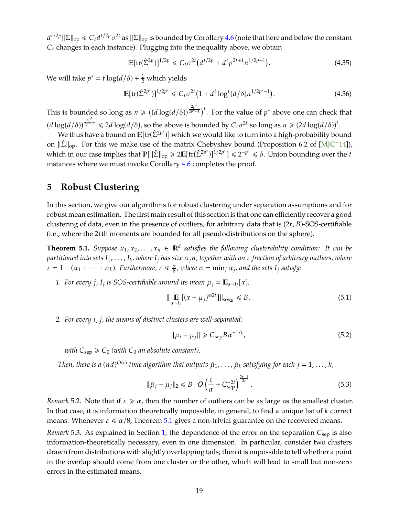<span id="page-19-3"></span> $d^{t/2p}$   $\|\Sigma\|_{\text{op}} \leq C_t d^{t/2p} \sigma^{2t}$  as  $\|\Sigma\|_{\text{op}}$  is bounded by Corollary [4.6](#page-17-2) (note that here and below the constant  $C_t$  changes in each instance). Plugging into the inequality above, we obtain

$$
\mathbb{E}[\text{tr}(\hat{\Sigma}^{2p})]^{1/2p} \leq C_t \sigma^{2t} \left( d^{t/2p} + d^t p^{2t+1} n^{1/2p-1} \right). \tag{4.35}
$$

We will take  $p^* = t \log(d/\delta) + \frac{1}{2}$  which yields

$$
\mathbb{E}[\text{tr}(\hat{\Sigma}^{2p^*})]^{1/2p^*} \leq C_t \sigma^{2t} \left(1 + d^t \log^t(d/\delta) n^{1/2p^*-1}\right). \tag{4.36}
$$

This is bounded so long as  $n \geq ((d \log(d/\delta))^{\frac{2p^*}{2p^*-1}})^t$ . For the value of  $p^*$  above one can check that  $(d \log(d/\delta))^{\frac{2p^*}{2p^*-1}} \leq 2d \log(d/\delta)$ , so the above is bounded by  $C_t \sigma^{2t}$  so long as  $n \geq (2d \log(d/\delta))^t$ .

We thus have a bound on  $\mathbb{E}[\text{tr}(\hat{\Sigma}^{2p^*})]$  which we would like to turn into a high-probability bound on  $\|\hat{\Sigma}\|_{\text{op}}$ . For this we make use of the matrix Chebyshev bound (Proposition 6.2 of [\[MJC](#page-29-5)<sup>+</sup>14]), which in our case implies that  $\mathbb{P}[\|\hat{\Sigma}\|_{op}\geq 2\mathbb{E}[\text{tr}(\hat{\Sigma}^{2p^*})]^{1/2p^*}]\leq 2^{-p^*}\leq \delta$ . Union bounding over the *t* instances where we must invoke Corollary [4.6](#page-17-2) completes the proof.

# <span id="page-19-0"></span>**5 Robust Clustering**

In this section, we give our algorithms for robust clustering under separation assumptions and for robust mean estimation. The first main result of this section is that one can efficiently recover a good clustering of data, even in the presence of outliers, for arbitrary data that is (2*t*, *B*)-SOS-certifiable (i.e., where the 2*t*th moments are bounded for all pseudodistributions on the sphere).

<span id="page-19-1"></span>**Theorem 5.1.** *Suppose*  $x_1, x_2, ..., x_n \in \mathbb{R}^d$  *satisfies the following clusterability condition: It can be partitioned into sets I*1, . . . , *I<sup>k</sup> , where I<sup>j</sup> has size* α*jn, together with an* ε *fraction of arbitrary outliers, where*  $\varepsilon = 1 - (\alpha_1 + \cdots + \alpha_k)$ . Furthermore,  $\varepsilon \leq \frac{\alpha}{8}$ , where  $\alpha = \min_j \alpha_j$ , and the sets  $I_j$  satisfy:

1. For every *j*, *I<sub>j</sub>* is SOS-certifiable around its mean  $\mu_j = \mathbb{E}_{x \sim I_j}[x]$ :

<span id="page-19-2"></span>
$$
\| \mathop{\mathbb{E}}_{x \sim I_j} [(x - \mu_j)^{\otimes 2t}] \|_{\text{sos}_{2t}} \le B.
$$
 (5.1)

*2. For every i*, *j, the means of distinct clusters are well-separated:*

$$
\|\mu_i - \mu_j\| \geq C_{\rm sep} B \alpha^{-1/t},\tag{5.2}
$$

*with*  $C_{\text{sep}} \ge C_0$  *(with*  $C_0$  *an absolute constant).* 

Then, there is a  $(nd)^{O(t)}$  time algorithm that outputs  $\hat{\mu}_1, \ldots, \hat{\mu}_k$  satisfying for each  $j = 1, \ldots, k$ ,

$$
\|\hat{\mu}_j - \mu_j\|_2 \leq B \cdot O\left(\frac{\varepsilon}{\alpha} + C_{\text{sep}}^{-2t}\right)^{\frac{2t-1}{2t}}.
$$
\n
$$
(5.3)
$$

*Remark* 5.2. Note that if  $\varepsilon \ge \alpha$ , then the number of outliers can be as large as the smallest cluster. In that case, it is information theoretically impossible, in general, to find a unique list of *k* correct means. Whenever  $\varepsilon \le \alpha/8$ , Theorem [5.1](#page-19-1) gives a non-trivial guarantee on the recovered means.

*Remark* 5.3. As explained in Section [1,](#page-1-0) the dependence of the error on the separation  $C_{\text{sep}}$  is also information-theoretically necessary, even in one dimension. In particular, consider two clusters drawn from distributions with slightly overlapping tails; then it is impossible to tell whether a point in the overlap should come from one cluster or the other, which will lead to small but non-zero errors in the estimated means.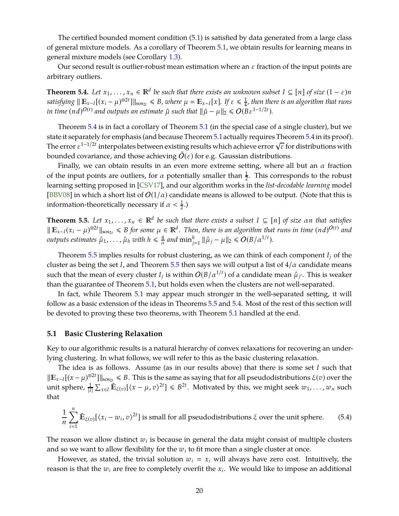<span id="page-20-3"></span>The certified bounded moment condition [\(5.1\)](#page-19-2) is satisfied by data generated from a large class of general mixture models. As a corollary of Theorem [5.1,](#page-19-1) we obtain results for learning means in general mixture models (see Corollary [1.3\)](#page-5-1).

<span id="page-20-1"></span>Our second result is outlier-robust mean estimation where an  $\varepsilon$  fraction of the input points are arbitrary outliers.

**Theorem 5.4.** *Let*  $x_1, \ldots, x_n \in \mathbb{R}^d$  *be such that there exists an unknown subset*  $I \subseteq [n]$  *of size*  $(1 - \varepsilon)n$  $satisfying \parallel \mathbb{E}_{x \sim I}[(x_i - \mu)^{\otimes 2t}] \parallel_{sos_{2t}} \le B$ *, where*  $\mu = \mathbb{E}_{x \sim I}[x]$ *. If*  $\varepsilon \le \frac{1}{4}$ 4 *, then there is an algorithm that runs in time*  $(nd)^{O(t)}$  *and outputs an estimate*  $\hat{\mu}$  *such that*  $\|\hat{\mu} - \mu\|_2 \le O(B\epsilon^{1-1/2t})$ *.* 

Theorem [5.4](#page-20-1) is in fact a corollary of Theorem [5.1](#page-19-1) (in the special case of a single cluster), but we state it separately for emphasis (and because Theorem [5.1](#page-19-1)actually requires Theorem [5.4](#page-20-1) in its proof). The error  $\varepsilon^{1-1/2t}$  interpolates between existing results which achieve error  $\sqrt{\varepsilon}$  for distributions with bounded covariance, and those achieving  $O(\varepsilon)$  for e.g. Gaussian distributions.

Finally, we can obtain results in an even more extreme setting, where all but an  $\alpha$  fraction of the input points are outliers, for  $\alpha$  potentially smaller than  $\frac{1}{2}$ . This corresponds to the robust learning setting proposed in [\[CSV17\]](#page-28-10), and our algorithm works in the *list-decodable learning* model [\[BBV08\]](#page-27-9) in which a short list of  $O(1/\alpha)$  candidate means is allowed to be output. (Note that this is information-theoretically necessary if  $\alpha < \frac{1}{2}$ .)

<span id="page-20-0"></span>**Theorem 5.5.** Let  $x_1, \ldots, x_n \in \mathbb{R}^d$  be such that there exists a subset  $I \subseteq [n]$  of size  $\alpha n$  that satisfies  $\| \mathbb{E}_{x \sim I}(x_i - \mu)^{\otimes 2t} \|_{\text{sos}_{2t}} \le B$  for some  $\mu \in \mathbb{R}^d$ . Then, there is an algorithm that runs in time  $(nd)^{O(t)}$  and *outputs estimates*  $\hat{\mu}_1, \ldots, \hat{\mu}_h$  *with*  $h \leqslant \frac{4}{\alpha}$  $\frac{4}{\alpha}$  and  $\min_{j=1}^h \|\hat{\mu}_j - \mu\|_2 \leqslant O(B/\alpha^{1/t}).$ 

Theorem [5.5](#page-20-0) implies results for robust clustering, as we can think of each component *I<sup>j</sup>* of the cluster as being the set *I*, and Theorem [5.5](#page-20-0) then says we will output a list of  $4/\alpha$  candidate means such that the mean of every cluster  $I_j$  is within  $O(B/\alpha^{1/t})$  of a candidate mean  $\hat{\mu}_{j'}$ . This is weaker than the guarantee of Theorem [5.1,](#page-19-1) but holds even when the clusters are not well-separated.

In fact, while Theorem [5.1](#page-19-1) may appear much stronger in the well-separated setting, it will follow as a basic extension of the ideas in Theorems [5.5](#page-20-0) and [5.4.](#page-20-1) Most of the rest of this section will be devoted to proving these two theorems, with Theorem [5.1](#page-19-1) handled at the end.

#### **5.1 Basic Clustering Relaxation**

Key to our algorithmic results is a natural hierarchy of convex relaxations for recovering an underlying clustering. In what follows, we will refer to this as the basic clustering relaxation.

The idea is as follows. Assume (as in our results above) that there is some set *I* such that *K*<sub>*x*∼*I*</sub>[(*x* − μ)<sup>⊗2*t*</sup>]<sup>*k*</sup> sos<sub>2*t*</sub> ≤ *B*. This is the same as saying that for all pseudodistributions ξ(*v*) over the unit sphere,  $\frac{1}{|I|} \sum_{x \in I} \tilde{\mathbb{E}}_{\xi(v)}[\langle x - \mu, v \rangle^{2t}] \leq B^{2t}$ . Motivated by this, we might seek  $w_1, \ldots, w_n$  such that

<span id="page-20-2"></span>
$$
\frac{1}{n}\sum_{i=1}^{n}\tilde{\mathbb{E}}_{\xi(v)}[(x_i - w_i, v)^{2t}] \text{ is small for all pseudodistributions } \xi \text{ over the unit sphere.}
$$
 (5.4)

The reason we allow distinct  $w_i$  is because in general the data might consist of multiple clusters and so we want to allow flexibility for the  $w_i$  to fit more than a single cluster at once.

However, as stated, the trivial solution  $w_i = x_i$  will always have zero cost. Intuitively, the reason is that the *w<sup>i</sup>* are free to completely overfit the *x<sup>i</sup>* . We would like to impose an additional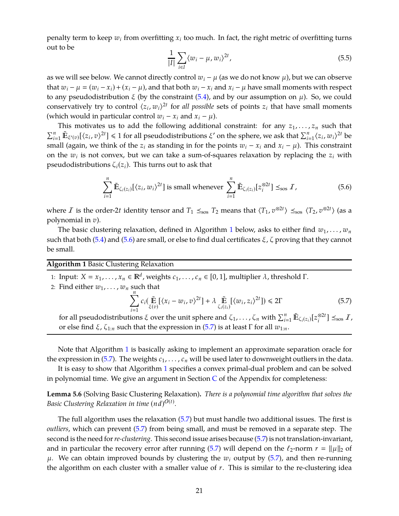penalty term to keep  $w_i$  from overfitting  $x_i$  too much. In fact, the right metric of overfitting turns out to be

$$
\frac{1}{|I|} \sum_{i \in I} \langle w_i - \mu, w_i \rangle^{2t}, \tag{5.5}
$$

as we will see below. We cannot directly control  $w_i - \mu$  (as we do not know  $\mu$ ), but we can observe that  $w_i - \mu = (w_i - x_i) + (x_i - \mu)$ , and that both  $w_i - x_i$  and  $x_i - \mu$  have small moments with respect to any pseudodistribution  $\xi$  (by the constraint [\(5.4\)](#page-20-2), and by our assumption on  $\mu$ ). So, we could conservatively try to control  $\langle z_i, w_i \rangle^{2t}$  for *all possible* sets of points  $z_i$  that have small moments (which would in particular control  $w_i - x_i$  and  $x_i - \mu$ ).

This motivates us to add the following additional constraint: for any  $z_1, \ldots, z_n$  such that  $\sum_{i=1}^{n} \tilde{\mathbf{E}}_{\xi'(v)}[\langle z_i, v \rangle^{2t}] \leq 1$  for all pseudodistributions  $\xi'$  on the sphere, we ask that  $\sum_{i=1}^{n} \langle z_i, w_i \rangle^{2t}$  be small (again, we think of the  $z_i$  as standing in for the points  $w_i - x_i$  and  $x_i - \mu$ ). This constraint on the *w<sup>i</sup>* is not convex, but we can take a sum-of-squares relaxation by replacing the *z<sup>i</sup>* with pseudodistributions  $\zeta_i(z_i)$ . This turns out to ask that

<span id="page-21-1"></span>
$$
\sum_{i=1}^{n} \tilde{\mathbb{E}}_{\zeta_i(z_i)}[(z_i, w_i)^{2t}] \text{ is small whenever } \sum_{i=1}^{n} \tilde{\mathbb{E}}_{\zeta_i(z_i)}[z_i^{\otimes 2t}] \leq_{\text{so}} I,
$$
 (5.6)

where  $I$  is the order-2*t* identity tensor and  $T_1 \leq_{\text{sos}} T_2$  means that  $\langle T_1, v^{\otimes 2t} \rangle \leq_{\text{sos}} \langle T_2, v^{\otimes 2t} \rangle$  (as a polynomial in *v*).

The basic clustering relaxation, defined in Algorithm [1](#page-21-0) below, asks to either find  $w_1, \ldots, w_n$ such that both [\(5.4\)](#page-20-2) and [\(5.6\)](#page-21-1) are small, or else to find dual certificates  $\xi$ ,  $\zeta$  proving that they cannot be small.

<span id="page-21-0"></span>**Algorithm 1** Basic Clustering Relaxation

1: Input:  $X = x_1, \ldots, x_n \in \mathbb{R}^d$ , weights  $c_1, \ldots, c_n \in [0, 1]$ , multiplier  $\lambda$ , threshold  $\Gamma$ .

2: Find either  $w_1, \ldots, w_n$  such that

<span id="page-21-2"></span>
$$
\sum_{i=1}^{n} c_i \big(\mathop{\tilde{\mathbb{E}}}_{\xi(v)}[(x_i - w_i, v)^{2t}] + \lambda \mathop{\tilde{\mathbb{E}}}_{\zeta_i(z_i)}[(w_i, z_i)^{2t}]\big) \le 2\Gamma
$$
\n(5.7)

for all pseudodistributions  $\xi$  over the unit sphere and  $\zeta_1,\ldots,\zeta_n$  with  $\sum_{i=1}^n \tilde{\mathbb{E}}_{\zeta_i(z_i)}[z_i^{\otimes 2t}] \preceq_{\text{sos}} I$ , or else find *ξ*,  $\zeta_{1:n}$  such that the expression in [\(5.7\)](#page-21-2) is at least Γ for all  $w_{1:n}$ .

Note that Algorithm [1](#page-21-0) is basically asking to implement an approximate separation oracle for the expression in  $(5.7)$ . The weights  $c_1, \ldots, c_n$  will be used later to downweight outliers in the data.

<span id="page-21-3"></span>It is easy to show that Algorithm [1](#page-21-0) specifies a convex primal-dual problem and can be solved in polynomial time. We give an argument in Section  $C$  of the Appendix for completeness:

**Lemma 5.6** (Solving Basic Clustering Relaxation)**.** *There is a polynomial time algorithm that solves the* Basic Clustering Relaxation in time  $(nd)^{O(t)}$ .

The full algorithm uses the relaxation [\(5.7\)](#page-21-2) but must handle two additional issues. The first is *outliers*, which can prevent [\(5.7\)](#page-21-2) from being small, and must be removed in a separate step. The second is the need for*re-clustering*. This second issue arises because [\(5.7\)](#page-21-2) is not translation-invariant, and in particular the recovery error after running [\(5.7\)](#page-21-2) will depend on the  $\ell_2$ -norm  $r = ||\mu||_2$  of  $\mu$ . We can obtain improved bounds by clustering the  $w_i$  output by [\(5.7\)](#page-21-2), and then re-running the algorithm on each cluster with a smaller value of *r*. This is similar to the re-clustering idea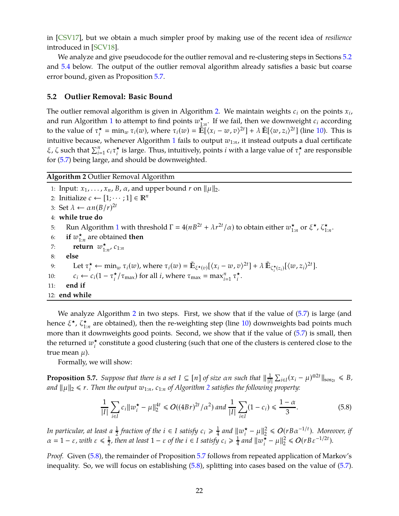<span id="page-22-5"></span>in [\[CSV17\]](#page-28-10), but we obtain a much simpler proof by making use of the recent idea of *resilience* introduced in [\[SCV18\]](#page-29-4).

We analyze and give pseudocode for the outlier removal and re-clustering steps in Sections [5.2](#page-22-0) and [5.4](#page-24-0) below. The output of the outlier removal algorithm already satisfies a basic but coarse error bound, given as Proposition [5.7.](#page-22-1)

## <span id="page-22-0"></span>**5.2 Outlier Removal: Basic Bound**

The outlier removal algorithm is given in Algorithm [2.](#page-22-2) We maintain weights *c<sup>i</sup>* on the points *x<sup>i</sup>* , and run Algorithm [1](#page-21-0) to attempt to find points  $w_{1:n}^{\star}$ . If we fail, then we downweight  $c_i$  according to the value of  $\tau_i^{\star}$  $\hat{\mathbf{E}}_i^* = \min_{w} \tau_i(w)$ , where  $\tau_i(w) = \hat{\mathbb{E}}[\langle x_i - w, v \rangle^{2t}] + \lambda \hat{\mathbb{E}}[\langle w, z_i \rangle^{2t}]$  (line [10\)](#page-22-3). This is intuitive because, whenever Algorithm [1](#page-21-0) fails to output *w*1:*n*, it instead outputs a dual certificate ξ, ζ such that  $\sum_{i=1}^{n} c_i \tau_i^*$  $\star_i^{\star}$  is large. Thus, intuitively, points *i* with a large value of  $\tau_i^{\star}$  $\sum_{i}^{\star}$  are responsible for [\(5.7\)](#page-21-2) being large, and should be downweighted.

## <span id="page-22-2"></span>**Algorithm 2** Outlier Removal Algorithm

1: Input:  $x_1, \ldots, x_n$ , *B*,  $\alpha$ , and upper bound *r* on  $\|\mu\|_2$ . 2: Initialize  $c \leftarrow [1; \dots; 1] \in \mathbb{R}^n$ 3: Set  $\lambda \leftarrow \alpha n (B/r)^{2t}$ 4: **while true do** 5: Run Algorithm [1](#page-21-0) with threshold  $\Gamma = 4(nB^{2t} + \lambda r^{2t}/\alpha)$  to obtain either  $w_{1:n}^{\star}$  or ξ\*, ζ $_{1:n}^{\star}$ . 6: **if**  $w_{1:n}^{\star}$  are obtained **then** 7: **return**  $w_{1:n}^{\star}$ ,  $c_{1:n}$ 8: **else** 9: Let  $\tau_i^* \leftarrow \min_w \tau_i(w)$ , where  $\tau_i(w) = \mathbb{E}_{\xi^*(v)}[\langle x_i - w, v \rangle^{2t}] + \lambda \mathbb{E}_{\zeta_i^*(z_i)}[\langle w, z_i \rangle^{2t}]$ . 10:  $c_i \leftarrow c_i (1 - \tau_i^{\star})$  $\frac{\tau}{i}$ / $\tau_{\text{max}}$ ) for all *i*, where  $\tau_{\text{max}} = \max_{i=1}^{n} \tau_i$ *i* . 11: **end if** 12: **end while**

We analyze Algorithm [2](#page-22-2) in two steps. First, we show that if the value of  $(5.7)$  is large (and hence *ξ*\*, ζ<sup>\*</sup><sub>1:*n*</sub> are obtained), then the re-weighting step (line [10\)](#page-22-3) downweights bad points much more than it downweights good points. Second, we show that if the value of [\(5.7\)](#page-21-2) is small, then the returned  $w_i^{\star}$  $\stackrel{\star}{\text{*}}$  constitute a good clustering (such that one of the clusters is centered close to the true mean  $\mu$ ).

<span id="page-22-1"></span>Formally, we will show:

**Proposition 5.7.** *Suppose that there is a set*  $I \subseteq [n]$  *of size*  $\alpha n$  *such that*  $\|\frac{1}{I}$  $\frac{1}{|I|} \sum_{i \in I} (x_i - \mu)^{\otimes 2t} \|\mathbf{s}_{0s_{2t}} \leq B$ *and*  $\|\mu\|_2 \le r$  $\|\mu\|_2 \le r$  $\|\mu\|_2 \le r$ . Then the output  $w_{1:n}$ ,  $c_{1:n}$  of Algorithm 2 satisfies the following property:

<span id="page-22-4"></span><span id="page-22-3"></span>
$$
\frac{1}{|I|} \sum_{i \in I} c_i \|w_i^* - \mu\|_2^{4t} \le O((4Br)^{2t}/\alpha^2) \text{ and } \frac{1}{|I|} \sum_{i \in I} (1 - c_i) \le \frac{1 - \alpha}{3}.
$$
 (5.8)

*In particular, at least a*  $\frac{1}{2}$  *fraction of the i*  $\in$  *I satisfy*  $c_i \geq \frac{1}{4}$  $rac{1}{4}$  and  $\|w_i^{\star}\|$  $\frac{\star}{i} - \mu \rVert_2^2$  $2<sup>2</sup> \leq O(rB\alpha^{-1/t})$ *. Moreover, if*  $\alpha = 1 - \varepsilon$ , with  $\varepsilon \leq \frac{1}{2}$  $\frac{1}{2}$ , then at least  $1 - \varepsilon$  of the  $i \in I$  satisfy  $c_i \geqslant \frac{1}{4}$  $rac{1}{4}$  and  $\|w_i^{\star}\|$  $\frac{\star}{i} - \mu \rVert_2^2$  $2^2 \leqslant O(rB\,\varepsilon^{-1/2t}).$ 

*Proof.* Given [\(5.8\)](#page-22-4), the remainder of Proposition [5.7](#page-22-1) follows from repeated application of Markov's inequality. So, we will focus on establishing [\(5.8\)](#page-22-4), splitting into cases based on the value of [\(5.7\)](#page-21-2).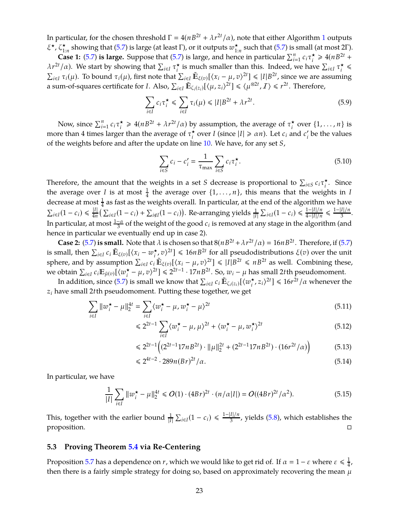In particular, for the chosen threshold  $\Gamma = 4(nB^{2t} + \lambda r^{2t}/\alpha)$ , note that either Algorithm [1](#page-21-0) outputs ξ<sup>\*</sup>, ζ<sup>\*</sup><sub>1:*n*</sub></sub> showing that [\(5.7\)](#page-21-2) is large (at least Γ), or it outputs  $w^*_{1:n}$  such that (5.7) is small (at most 2Γ).

**Case 1:** [\(5.7\)](#page-21-2) **is large.** Suppose that [\(5.7\)](#page-21-2) is large, and hence in particular  $\sum_{i=1}^{n} c_i \tau_i^*$  $\underset{i}{\star} \geq 4(nB^{2t} +$  $\lambda r^{2t}/\alpha$ ). We start by showing that  $\sum_{i\in I} \tau_i^*$  $\sum_{i=1}^{k}$  is much smaller than this. Indeed, we have  $\sum_{i\in I} \tau_i^*$  $\frac{\star}{i}$   $\leq$  $\sum_{i \in I} \tau_i(\mu)$ . To bound  $\tau_i(\mu)$ , first note that  $\sum_{i \in I} \tilde{\mathbb{E}}_{\xi(v)}[(x_i - \mu, v)^{2t}] \leq |I| B^{2t}$ , since we are assuming a sum-of-squares certificate for *I*. Also,  $\sum_{i \in I} \mathbb{E}_{\zeta_i(z_i)}[\langle \mu, z_i \rangle^{2t}] \leq \langle \mu^{\otimes 2t}, \mathcal{I} \rangle \leq r^{2t}$ . Therefore,

$$
\sum_{i \in I} c_i \tau_i^{\star} \leq \sum_{i \in I} \tau_i(\mu) \leq |I| B^{2t} + \lambda r^{2t}.
$$
\n
$$
(5.9)
$$

Now, since  $\sum_{i=1}^{n} c_i \tau_i^{\star}$  $\tau_i^* \geq 4(nB^{2t} + \lambda r^{2t}/\alpha)$  by assumption, the average of  $\tau_i^*$  $\sum_{i}^{\star}$  over  $\{1, \ldots, n\}$  is more than 4 times larger than the average of  $\tau_i^*$  $\sum_{i}$  over *I* (since  $|I| \ge \alpha n$ ). Let  $c_i$  and  $c'_i$  be the values of the weights before and after the update on line [10.](#page-22-3) We have, for any set *S*,

$$
\sum_{i \in S} c_i - c'_i = \frac{1}{\tau_{\text{max}}} \sum_{i \in S} c_i \tau_i^{\star}.
$$
\n(5.10)

Therefore, the amount that the weights in a set *S* decrease is proportional to  $\sum_{i \in S} c_i \tau_i^*$ *i* . Since the average over *I* is at most  $\frac{1}{4}$  the average over  $\{1, \ldots, n\}$ , this means that the weights in *I* decrease at most  $\frac{1}{4}$  as fast as the weights overall. In particular, at the end of the algorithm we have  $\sum_{i\in I}(1-c_i) \leq \frac{|I|}{4n} \left(\sum_{i\in I}(1-c_i) + \sum_{i\notin I}(1-c_i)\right)$ . Re-arranging yields  $\frac{1}{|I|}\sum_{i\in I}(1-c_i) \leq \frac{1-|I|/n}{4-|I|/n}$  $\frac{1-|I|/n}{4-|I|/n} \leq \frac{1-|I|/n}{3}.$ In particular, at most  $\frac{1-\alpha}{3}$  of the weight of the good  $c_i$  is removed at any stage in the algorithm (and hence in particular we eventually end up in case 2).

**Case 2:** [\(5.7\)](#page-21-2) **is small.** Note that  $\lambda$  is chosen so that  $8(nB^{2t} + \lambda r^{2t}/\alpha) = 16nB^{2t}$ . Therefore, if [\(5.7\)](#page-21-2) is small, then  $\sum_{i\in I} c_i \mathbb{E}_{\xi(v)}[\langle x_i - w_i^{\star}, v \rangle^{2t}] \leq 16nB^{2t}$  for all pseudodistributions  $\xi(v)$  over the unit  $i \in I$  **<sup>c</sup>** i **l**  $\mathcal{L}$ <sub>*i*</sub> $\mathcal{L}$ (*v*)**l**  $\setminus \mathcal{L}$ *i*  $\mathcal{L}$  i sphere, and by assumption  $\sum_{i \in I} c_i \mathbb{E}_{\xi(v)} [\langle x_i - \mu, v \rangle^{2t}] \leq |I| B^{2t} \leq n B^{2t}$  as well. Combining these, we obtain  $\sum_{i \in I} c_i \mathbb{E}_{\tilde{\mu}(v)}[\langle w_i^{\star} \rangle]$  $\mathbf{a}_i^{\star} - \mu$ , *v*)<sup>2*t*</sup>] ≤ 2<sup>2*t*−1</sup> · 17*n B*<sup>2*t*</sup>. So, *w*<sub>*i*</sub> −  $\mu$  has small 2*t* th pseudomoment.

In addition, since [\(5.7\)](#page-21-2) is small we know that  $\sum_{i\in I} c_i \mathbb{E}_{\zeta_i(z_i)}[\langle w^\star_i\rangle]$  $\int_{i}^{\star}$ ,  $z_i \rangle^{2t}$ ]  $\leq 16r^{2t}/\alpha$  whenever the *z<sup>i</sup>* have small 2*t*th pseudomoment. Putting these together, we get

$$
\sum_{i \in I} \|w_i^* - \mu\|_2^{4t} = \sum_{i \in I} \langle w_i^* - \mu, w_i^* - \mu \rangle^{2t}
$$
 (5.11)

$$
\leq 2^{2t-1} \sum_{i \in I} \langle w_i^{\star} - \mu, \mu \rangle^{2t} + \langle w_i^{\star} - \mu, w_i^{\star} \rangle^{2t}
$$
 (5.12)

$$
\leq 2^{2t-1} \left( \left( 2^{2t-1} 17n B^{2t} \right) \cdot \|\mu\|_2^{2t} + \left( 2^{2t-1} 17n B^{2t} \right) \cdot \left( 16r^{2t} / \alpha \right) \right) \tag{5.13}
$$

$$
\leq 2^{4t-2} \cdot 289n(Br)^{2t}/\alpha. \tag{5.14}
$$

In particular, we have

$$
\frac{1}{|I|} \sum_{i \in I} ||w_i^{\star} - \mu||_2^{4t} \le O(1) \cdot (4Br)^{2t} \cdot (n/\alpha|I|) = O((4Br)^{2t}/\alpha^2). \tag{5.15}
$$

This, together with the earlier bound  $\frac{1}{|I|} \sum_{i \in I} (1 - c_i) \leq \frac{1 - |I|/n}{3}$ , yields [\(5.8\)](#page-22-4), which establishes the proposition.

### **5.3 Proving Theorem [5.4](#page-20-1) via Re-Centering**

Proposition [5.7](#page-22-1) has a dependence on *r*, which we would like to get rid of. If  $\alpha = 1 - \varepsilon$  where  $\varepsilon \leqslant \frac{1}{4}$  $\frac{1}{4}$ , then there is a fairly simple strategy for doing so, based on approximately recovering the mean  $\mu$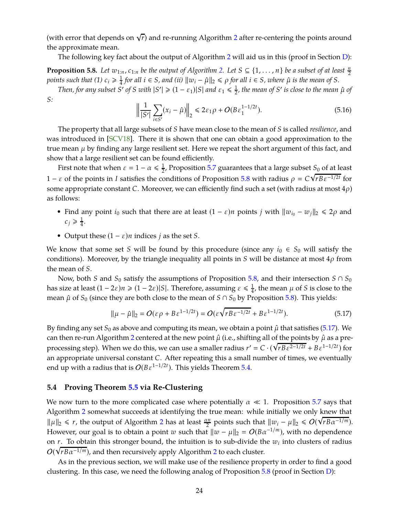<span id="page-24-4"></span>(with error that depends on  $\sqrt{r}$ ) and re-running Algorithm [2](#page-22-2) after re-centering the points around the approximate mean.

<span id="page-24-1"></span>The following key fact about the output of Algorithm [2](#page-22-2) will aid us in this (proof in Section [D\)](#page-31-1):

**Proposition 5.8.** Let  $w_{1:n}$ ,  $c_{1:n}$  be the output of Algorithm [2.](#page-22-2) Let  $S \subseteq \{1,\ldots,n\}$  be a subset of at least  $\frac{n}{2}$ *points such that (1)*  $c_i \geqslant \frac{1}{4}$  $\frac{1}{4}$  *for all*  $i \in S$ *, and (ii)*  $\|w_i - \hat{\mu}\|_2 \leqslant \rho$  *for all*  $i \in S$ *, where*  $\hat{\mu}$  *is the mean of S.* 

*Then, for any subset S*<sup>*'*</sup> *of S with*  $|S'| \geq (1 - \varepsilon_1)|S|$  *and*  $\varepsilon_1 \leq \frac{1}{2}$ 2 *, the mean of S* ′ *is close to the mean* µˆ *of S:*

$$
\left\| \frac{1}{|S'|} \sum_{i \in S'} (x_i - \hat{\mu}) \right\|_2 \leq 2\varepsilon_1 \rho + O(B \varepsilon_1^{1 - 1/2t}). \tag{5.16}
$$

The property that all large subsets of *S* have mean close to the mean of *S* is called *resilience*, and was introduced in [\[SCV18\]](#page-29-4). There it is shown that one can obtain a good approximation to the true mean  $\mu$  by finding any large resilient set. Here we repeat the short argument of this fact, and show that a large resilient set can be found efficiently.

First note that when  $\varepsilon = 1 - \alpha \leq \frac{1}{2}$  $\frac{1}{2}$ , Proposition [5.7](#page-22-1) guarantees that a large subset  $S_0$  of at least 1 − *ε* of the points in *I* satisfies the conditions of Proposition [5.8](#page-24-1) with radius  $ρ = C\sqrt{rBε^{-1/2t}}$  for some appropriate constant *C*. Moreover, we can efficiently find such a set (with radius at most  $4\rho$ ) as follows:

- Find any point *i*<sub>0</sub> such that there are at least  $(1 \varepsilon)n$  points *j* with  $||w_{i_0} w_j||_2 \le 2\rho$  and  $c_j \geqslant \frac{1}{4}$  $\frac{1}{4}$ .
- Output these  $(1 \varepsilon)n$  indices *j* as the set *S*.

We know that some set *S* will be found by this procedure (since any  $i_0 \in S_0$  will satisfy the conditions). Moreover, by the triangle inequality all points in *S* will be distance at most  $4\rho$  from the mean of *S*.

Now, both *S* and  $S_0$  satisfy the assumptions of Proposition [5.8,](#page-24-1) and their intersection *S* ∩  $S_0$ has size at least  $(1 - 2\varepsilon)n \geqslant (1 - 2\varepsilon)|S|$ . Therefore, assuming  $\varepsilon \leqslant \frac{1}{4}$  $\frac{1}{4}$ , the mean  $\mu$  of *S* is close to the mean  $\hat{\mu}$  of *S*<sub>0</sub> (since they are both close to the mean of *S* ∩ *S*<sub>0</sub> by Proposition [5.8\)](#page-24-1). This yields:

<span id="page-24-2"></span>
$$
\|\mu - \hat{\mu}\|_2 = O(\varepsilon \rho + B\varepsilon^{1-1/2t}) = O(\varepsilon \sqrt{r B \varepsilon^{-1/2t}} + B\varepsilon^{1-1/2t}).
$$
\n(5.17)

By finding any set  $S_0$  as above and computing its mean, we obtain a point  $\hat{\mu}$  that satisfies [\(5.17\)](#page-24-2). We can then re-run Algorithm [2](#page-22-2) centered at the new point  $\hat{\mu}$  (i.e., shifting all of the points by  $\hat{\mu}$  as a preprocessing step). When we do this, we can use a smaller radius  $r' = C \cdot (\sqrt{r B \varepsilon^{2-1/2t}} + B \varepsilon^{1-1/2t})$  for an appropriate universal constant *C*. After repeating this a small number of times, we eventually end up with a radius that is  $O(B\varepsilon^{1-1/2t})$ . This yields Theorem [5.4.](#page-20-1)

#### <span id="page-24-0"></span>**5.4 Proving Theorem [5.5](#page-20-0) via Re-Clustering**

We now turn to the more complicated case where potentially  $\alpha \ll 1$ . Proposition [5.7](#page-22-1) says that Algorithm [2](#page-22-2) somewhat succeeds at identifying the true mean: while initially we only knew that  $\|\mu\|_2 \leq r$  $\|\mu\|_2 \leq r$  $\|\mu\|_2 \leq r$ , the output of Algorithm 2 has at least  $\frac{\alpha n}{2}$  points such that  $\|w_i - \mu\|_2 \leq O(\sqrt{rB\alpha^{-1/m}})$ . However, our goal is to obtain a point *w* such that  $\|w - \mu\|_2 = O(B\alpha^{-1/m})$ , with no dependence on *r*. To obtain this stronger bound, the intuition is to sub-divide the *w<sup>i</sup>* into clusters of radius  $O(\sqrt{rB\alpha^{-1/m}})$ , and then recursively apply Algorithm [2](#page-22-2) to each cluster.

<span id="page-24-3"></span>As in the previous section, we will make use of the resilience property in order to find a good clustering. In this case, we need the following analog of Proposition [5.8](#page-24-1) (proof in Section [D\)](#page-31-1):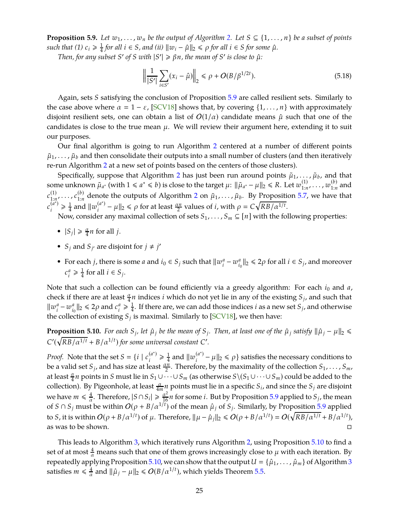<span id="page-25-1"></span>**Proposition 5.9.** Let  $w_1, \ldots, w_n$  be the output of Algorithm [2.](#page-22-2) Let  $S \subseteq \{1, \ldots, n\}$  be a subset of points *such that (1)*  $c_i \geqslant \frac{1}{4}$  $\frac{1}{4}$  *for all*  $i \in S$ *, and (ii)*  $\|w_i - \hat{\mu}\|_2 \le \rho$  *for all*  $i \in S$  *for some*  $\hat{\mu}$ *.* 

*Then, for any subset*  $S'$  *of*  $S$  *with*  $|S'| \ge \beta n$ *, the mean of*  $S'$  *is close to*  $\hat{\mu}$ *:* 

$$
\left\| \frac{1}{|S'|} \sum_{i \in S'} (x_i - \hat{\mu}) \right\|_2 \le \rho + O(B/\beta^{1/2t}). \tag{5.18}
$$

Again, sets *S* satisfying the conclusion of Proposition [5.9](#page-24-3) are called resilient sets. Similarly to the case above where  $\alpha = 1 - \varepsilon$ , [\[SCV18\]](#page-29-4) shows that, by covering  $\{1, \ldots, n\}$  with approximately disjoint resilient sets, one can obtain a list of  $O(1/\alpha)$  candidate means  $\hat{\mu}$  such that one of the candidates is close to the true mean  $\mu$ . We will review their argument here, extending it to suit our purposes.

Our final algorithm is going to run Algorithm [2](#page-22-2) centered at a number of different points  $\tilde{\mu}_1, \ldots, \tilde{\mu}_b$  and then consolidate their outputs into a small number of clusters (and then iteratively re-run Algorithm [2](#page-22-2) at a new set of points based on the centers of those clusters).

Specifically, suppose that Algorithm [2](#page-22-2) has just been run around points  $\tilde{\mu}_1, \ldots, \tilde{\mu}_b$ , and that some unknown  $\tilde{\mu}_{a^*}$  (with  $1 \le a^* \le b$ ) is close to the target  $\mu$ :  $\|\tilde{\mu}_{a^*} - \mu\|_2 \le R$ . Let  $w_{1:n}^{(1)}, \ldots, w_{1:n}^{(b)}$  and  $c_{1:n}^{(1)}$ , ...,  $c_{1:n}^{(b)}$  denote the outputs of Algorithm [2](#page-22-2) on  $\tilde{\mu}_1$ , ...,  $\tilde{\mu}_b$ . By Proposition [5.7,](#page-22-1) we have that  $c_i^{(a^*)} \geqslant \frac{1}{4}$  $\frac{1}{4}$  and  $\|w_i^{(a^*)} - \mu\|_2 \leqslant \rho$  for at least  $\frac{\alpha n}{2}$  values of *i*, with  $\rho = C\sqrt{RB/\alpha^{1/t}}$ .

Now, consider any maximal collection of sets  $S_1, \ldots, S_m \subseteq [n]$  with the following properties:

- $|S_j| \ge \frac{\alpha}{4} n$  for all *j*.
- *S<sub><i>j*</sub> and *S*<sub>*j*</sub> are disjoint for  $j \neq j'$
- For each *j*, there is some *a* and  $i_0 \in S_j$  such that  $\|w_i\|$  $\frac{a}{i} - w^a_{i_0}$  $\|a_{i_0}\|_2 \leq 2\rho$  for all  $i \in S_j$ , and moreover *c a*  $\frac{a}{i} \geqslant \frac{1}{4}$  $\frac{1}{4}$  for all  $i \in S_j$ .

Note that such a collection can be found efficiently via a greedy algorithm: For each *i*<sup>0</sup> and *a*, check if there are at least  $\frac{\alpha}{4}n$  indices *i* which do not yet lie in any of the existing  $S_j$ , and such that  $\|w_i^a\|$  $\sum_{i=1}^{a}$  $\left\| \frac{a}{i_0} \right\|_2 \leqslant 2\rho$  and  $c_i^a$  $\frac{a}{i} \geqslant \frac{1}{4}$  $\frac{1}{4}$ . If there are, we can add those indices *i* as a new set  $S_j$ , and otherwise the collection of existing  $S_j$  is maximal. Similarly to [\[SCV18\]](#page-29-4), we then have:

<span id="page-25-0"></span>**Proposition 5.10.** For each  $S_j$ , let  $\hat{\mu}_j$  be the mean of  $S_j$ . Then, at least one of the  $\hat{\mu}_j$  satisfy  $\|\hat{\mu}_j - \mu\|_2 \le$  $C'(\sqrt{RB/\alpha^{1/t}} + B/\alpha^{1/t})$  *for some universal constant C*'.

*Proof.* Note that the set  $S = \{i \mid c_i^{(a^*)} \geq \frac{1}{4}\}$  $\frac{1}{4}$  and  $\|w_i^{(a^*)} - \mu\|_2 \le \rho$ } satisfies the necessary conditions to be a valid set  $S_j$ , and has size at least  $\frac{\alpha n}{2}$ . Therefore, by the maximality of the collection  $S_1,\ldots,S_m$ , at least  $\frac{\alpha}{4}n$  points in *S* must lie in  $S_1\cup\cdots\cup S_m$  (as otherwise  $S\backslash (S_1\cup\cdots\cup S_m)$  could be added to the collection). By Pigeonhole, at least  $\frac{\alpha}{4m}n$  points must lie in a specific  $S_i$ , and since the  $S_j$  are disjoint we have  $m \leqslant \frac{4}{\alpha}$  $\frac{4}{\alpha}$ . Therefore,  $|S \cap S_i| \geq \frac{\alpha^2}{16}n$  for some *i*. But by Proposition [5.9](#page-24-3) applied to  $S_j$ , the mean of  $S \cap S_j$  must be within  $O(\rho + B/\alpha^{1/t})$  of the mean  $\hat{\mu}_j$  of  $S_j$ . Similarly, by Proposition [5.9](#page-24-3) applied to *S*, it is within  $O(\rho + B/\alpha^{1/t})$  of  $\mu$ . Therefore,  $\|\mu - \hat{\mu}_j\|_2 \le O(\rho + B/\alpha^{1/t}) = O(\sqrt{RB/\alpha^{1/t}} + B/\alpha^{1/t})$ , as was to be shown.

This leads to Algorithm [3,](#page-26-0) which iteratively runs Algorithm [2,](#page-22-2) using Proposition [5.10](#page-25-0) to find a set of at most  $\frac{4}{\alpha}$  means such that one of them grows increasingly close to  $\mu$  with each iteration. By repeatedly applying Proposition [5.10,](#page-25-0) we can show that the output  $U = {\hat{\mu}_1, \dots, \hat{\mu}_m}$  of Algorithm [3](#page-26-0) satisfies  $m \leq \frac{4}{\alpha}$  $\frac{4}{\alpha}$  and  $\|\hat{\mu}_j - \mu\|_2 \leq O(B/\alpha^{1/t})$ , which yields Theorem [5.5.](#page-20-0)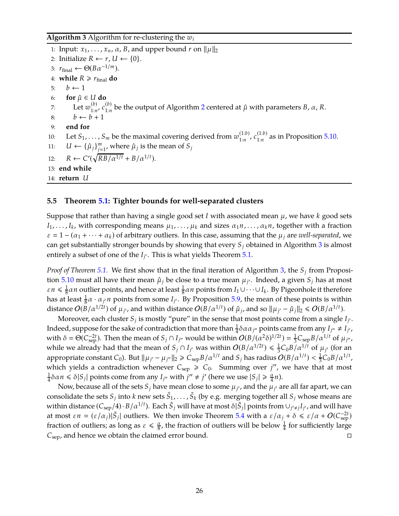## <span id="page-26-0"></span>**Algorithm 3** Algorithm for re-clustering the *w<sup>i</sup>*

1: Input:  $x_1, \ldots, x_n, \alpha, B$ , and upper bound *r* on  $\|\mu\|_2$ 2: Initialize  $R \leftarrow r$ ,  $U \leftarrow \{0\}$ . 3:  $r_{\text{final}} \leftarrow \Theta(B\alpha^{-1/m}).$ 4: **while**  $R \ge r_{\text{final}}$  **do** 5:  $b \leftarrow 1$ 6: **for**  $\hat{\mu} \in U$  **do** 7: Let  $w_{1:n}^{(b)}$ ,  $c_{1:n}^{(b)}$  be the output of Algorithm [2](#page-22-2) centered at  $\hat{\mu}$  with parameters *B*,  $\alpha$ , *R*. 8:  $b \leftarrow b + 1$ 9: **end for** 10: Let  $S_1, \ldots, S_m$  be the maximal covering derived from  $w_{1:n}^{(1:b)}$ ,  $c_{1:n}^{(1:b)}$  as in Proposition [5.10.](#page-25-0) 11:  $U \leftarrow {\{\hat{\mu}_j\}}_{j=1}^m$ , where  $\hat{\mu}_j$  is the mean of  $S_j$ 12:  $R \leftarrow C'(\sqrt{RB/\alpha^{1/t}} + B/\alpha^{1/t}).$ 13: **end while** 14: **return** *U*

## **5.5 Theorem [5.1:](#page-19-1) Tighter bounds for well-separated clusters**

Suppose that rather than having a single good set *I* with associated mean µ, we have *k* good sets  $I_1,\ldots,I_k$ , with corresponding means  $\mu_1,\ldots,\mu_k$  and sizes  $\alpha_1n,\ldots,\alpha_kn$ , together with a fraction  $\varepsilon = 1 - (\alpha_1 + \cdots + \alpha_k)$  of arbitrary outliers. In this case, assuming that the  $\mu_i$  are *well-separated*, we can get substantially stronger bounds by showing that every *S<sup>j</sup>* obtained in Algorithm [3](#page-26-0) is almost entirely a subset of one of the  $I_{j'}$ . This is what yields Theorem [5.1.](#page-19-1)

*Proof of Theorem [5.1.](#page-19-1)* We first show that in the final iteration of Algorithm [3,](#page-26-0) the *S<sup>j</sup>* from Proposi-tion [5.10](#page-25-0) must all have their mean  $\hat{\mu}_j$  be close to a true mean  $\mu_{j'}$ . Indeed, a given  $S_j$  has at most  $\varepsilon n \leqslant \frac{1}{8}$  $\frac{1}{8}$ *an* outlier points, and hence at least  $\frac{1}{8}$ *an* points from *I*<sub>1</sub> ∪ · · · ∪ *I*<sub>*k*</sub>. By Pigeonhole it therefore has at least  $\frac{1}{8}\alpha \cdot \alpha_{j'}n$  points from some  $I_{j'}$ . By Proposition [5.9,](#page-24-3) the mean of these points is within distance  $O(B/\alpha^{1/2t})$  of  $\mu_{j'}$ , and within distance  $O(B/\alpha^{1/t})$  of  $\hat{\mu}_j$ , and so  $\|\mu_{j'} - \hat{\mu}_j\|_2 \leqslant O(B/\alpha^{1/t})$ .

Moreover, each cluster  $S_j$  is mostly "pure" in the sense that most points come from a single  $I_{j'}$ . Indeed, suppose for the sake of contradiction that more than  $\frac{1}{4}\delta\alpha\alpha_{j''}$  points came from any  $I_{j''}\neq I_{j'}$ , with  $\delta = \Theta(C_{\text{sep}}^{-2t})$ . Then the mean of  $S_j \cap I_{j''}$  would be within  $O(B/(\alpha^2 \delta)^{1/2t}) = \frac{1}{3}$  $\frac{1}{3}C_{\rm sep}B/\alpha^{1/t}$  of  $\mu_{j''}$ , while we already had that the mean of  $S_j \cap I_{j'}$  was within  $O(B/\alpha^{1/2}) \leq \frac{1}{3}$  $\frac{1}{3}C_0B/\alpha^{1/t}$  of  $\mu_{j'}$  (for an appropriate constant  $C_0$ ). But  $\|\mu_{j'}-\mu_{j''}\|_2 \geqslant C_{\rm sep}B/\alpha^{1/t}$  and  $S_j$  has radius  $O(B/\alpha^{1/t}) < \frac{1}{3}$  $\frac{1}{3}C_0B/\alpha^{1/t}$ , which yields a contradiction whenever  $C_{\text{sep}} \geq C_0$ . Summing over *j''*, we have that at most 1  $\frac{1}{4} \delta \alpha n \leq \delta |S_j|$  points come from any  $I_{j''}$  with  $j'' \neq j'$  (here we use  $|S_j| \geq \frac{\alpha}{4} n$ ).

Now, because all of the sets  ${\cal S}_j$  have mean close to some  $\mu_{j'}$ , and the  $\mu_{j'}$  are all far apart, we can consolidate the sets  $S_j$  into  $k$  new sets  $\tilde{S}_1, \ldots, \tilde{S}_k$  (by e.g. merging together all  $S_j$  whose means are within distance  $(C_{\rm sep}/4) \cdot B/a^{1/t}$ ). Each  $\tilde{S}_j$  will have at most  $\delta|\tilde{S}_j|$  points from  $\cup_{j'\neq j}I_{j'}$ , and will have at most  $\varepsilon n = (\varepsilon/\alpha_j)|\tilde{S}_j|$  outliers. We then invoke Theorem [5.4](#page-20-1) with a  $\varepsilon/\alpha_j + \delta \leq \varepsilon/\alpha + O(C_{\text{sep}}^{-2t})$ fraction of outliers; as long as  $\varepsilon \leq \frac{\alpha}{8}$ , the fraction of outliers will be below  $\frac{1}{4}$  for sufficiently large  $C_{\rm sep}$ , and hence we obtain the claimed error bound.  $\square$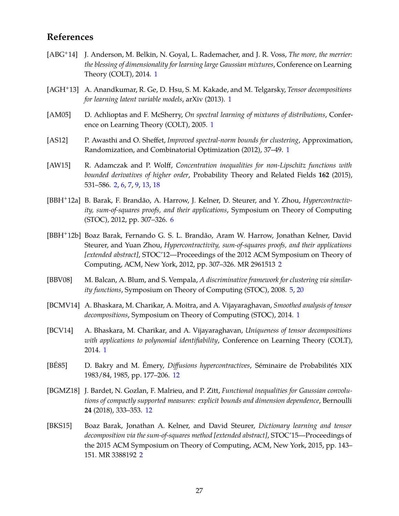# **References**

- <span id="page-27-4"></span>[ABG+14] J. Anderson, M. Belkin, N. Goyal, L. Rademacher, and J. R. Voss, *The more, the merrier: the blessing of dimensionality for learning large Gaussian mixtures*, Conference on Learning Theory (COLT), 2014. [1](#page-1-1)
- <span id="page-27-5"></span>[AGH+13] A. Anandkumar, R. Ge, D. Hsu, S. M. Kakade, and M. Telgarsky, *Tensor decompositions for learning latent variable models*, arXiv (2013). [1](#page-1-1)
- <span id="page-27-0"></span>[AM05] D. Achlioptas and F. McSherry, *On spectral learning of mixtures of distributions*, Conference on Learning Theory (COLT), 2005. [1](#page-1-1)
- <span id="page-27-1"></span>[AS12] P. Awasthi and O. Sheffet, *Improved spectral-norm bounds for clustering*, Approximation, Randomization, and Combinatorial Optimization (2012), 37–49. [1](#page-1-1)
- <span id="page-27-8"></span>[AW15] R. Adamczak and P. Wolff, *Concentration inequalities for non-Lipschitz functions with bounded derivatives of higher order*, Probability Theory and Related Fields **162** (2015), 531–586. [2,](#page-2-2) [6,](#page-6-0) [7,](#page-7-0) [9,](#page-9-1) [13,](#page-13-5) [18](#page-18-1)
- <span id="page-27-10"></span>[BBH+12a] B. Barak, F. Brandão, A. Harrow, J. Kelner, D. Steurer, and Y. Zhou, *Hypercontractivity, sum-of-squares proofs, and their applications*, Symposium on Theory of Computing (STOC), 2012, pp. 307–326. [6](#page-6-0)
- <span id="page-27-6"></span>[BBH+12b] Boaz Barak, Fernando G. S. L. Brandão, Aram W. Harrow, Jonathan Kelner, David Steurer, and Yuan Zhou, *Hypercontractivity, sum-of-squares proofs, and their applications [extended abstract]*, STOC'12—Proceedings of the 2012 ACM Symposium on Theory of Computing, ACM, New York, 2012, pp. 307–326. MR 2961513 [2](#page-2-2)
- <span id="page-27-9"></span>[BBV08] M. Balcan, A. Blum, and S. Vempala, *A discriminative framework for clustering via similarity functions*, Symposium on Theory of Computing (STOC), 2008. [5,](#page-5-2) [20](#page-20-3)
- <span id="page-27-3"></span>[BCMV14] A. Bhaskara, M. Charikar, A. Moitra, and A. Vijayaraghavan, *Smoothed analysis of tensor decompositions*, Symposium on Theory of Computing (STOC), 2014. [1](#page-1-1)
- <span id="page-27-2"></span>[BCV14] A. Bhaskara, M. Charikar, and A. Vijayaraghavan, *Uniqueness of tensor decompositions with applications to polynomial identifiability*, Conference on Learning Theory (COLT), 2014. [1](#page-1-1)
- <span id="page-27-11"></span>[BÉ85] D. Bakry and M. Émery, *Diffusions hypercontractives*, Séminaire de Probabilités XIX 1983/84, 1985, pp. 177–206. [12](#page-12-3)
- <span id="page-27-12"></span>[BGMZ18] J. Bardet, N. Gozlan, F. Malrieu, and P. Zitt, *Functional inequalities for Gaussian convolutions of compactly supported measures: explicit bounds and dimension dependence*, Bernoulli **24** (2018), 333–353. [12](#page-12-3)
- <span id="page-27-7"></span>[BKS15] Boaz Barak, Jonathan A. Kelner, and David Steurer, *Dictionary learning and tensor decomposition via the sum-of-squares method [extended abstract]*, STOC'15—Proceedings of the 2015 ACM Symposium on Theory of Computing, ACM, New York, 2015, pp. 143– 151. MR 3388192 [2](#page-2-2)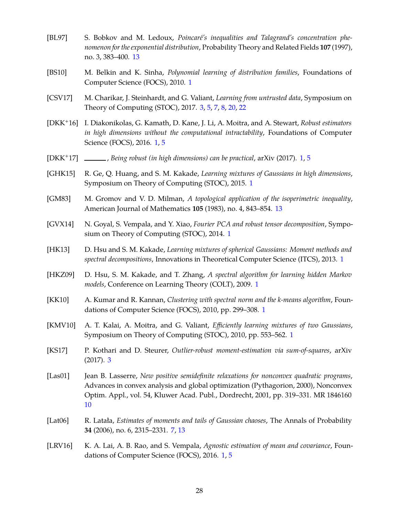- <span id="page-28-14"></span>[BL97] S. Bobkov and M. Ledoux, *Poincaré's inequalities and Talagrand's concentration phenomenon for the exponential distribution*, Probability Theory and Related Fields **107** (1997), no. 3, 383–400. [13](#page-13-5)
- <span id="page-28-2"></span>[BS10] M. Belkin and K. Sinha, *Polynomial learning of distribution families*, Foundations of Computer Science (FOCS), 2010. [1](#page-1-1)
- <span id="page-28-10"></span>[CSV17] M. Charikar, J. Steinhardt, and G. Valiant, *Learning from untrusted data*, Symposium on Theory of Computing (STOC), 2017. [3,](#page-3-2) [5,](#page-5-2) [7,](#page-7-0) [8,](#page-8-0) [20,](#page-20-3) [22](#page-22-5)
- <span id="page-28-9"></span>[DKK+16] I. Diakonikolas, G. Kamath, D. Kane, J. Li, A. Moitra, and A. Stewart, *Robust estimators in high dimensions without the computational intractability*, Foundations of Computer Science (FOCS), 2016. [1,](#page-1-1) [5](#page-5-2)
- <span id="page-28-8"></span>[DKK+17] , *Being robust (in high dimensions) can be practical*, arXiv (2017). [1,](#page-1-1) [5](#page-5-2)
- <span id="page-28-5"></span>[GHK15] R. Ge, Q. Huang, and S. M. Kakade, *Learning mixtures of Gaussians in high dimensions*, Symposium on Theory of Computing (STOC), 2015. [1](#page-1-1)
- <span id="page-28-15"></span>[GM83] M. Gromov and V. D. Milman, *A topological application of the isoperimetric inequality*, American Journal of Mathematics **105** (1983), no. 4, 843–854. [13](#page-13-5)
- <span id="page-28-4"></span>[GVX14] N. Goyal, S. Vempala, and Y. Xiao, *Fourier PCA and robust tensor decomposition*, Symposium on Theory of Computing (STOC), 2014. [1](#page-1-1)
- <span id="page-28-3"></span>[HK13] D. Hsu and S. M. Kakade, *Learning mixtures of spherical Gaussians: Moment methods and spectral decompositions*, Innovations in Theoretical Computer Science (ITCS), 2013. [1](#page-1-1)
- <span id="page-28-6"></span>[HKZ09] D. Hsu, S. M. Kakade, and T. Zhang, *A spectral algorithm for learning hidden Markov models*, Conference on Learning Theory (COLT), 2009. [1](#page-1-1)
- <span id="page-28-0"></span>[KK10] A. Kumar and R. Kannan, *Clustering with spectral norm and the k-means algorithm*, Foundations of Computer Science (FOCS), 2010, pp. 299–308. [1](#page-1-1)
- <span id="page-28-1"></span>[KMV10] A. T. Kalai, A. Moitra, and G. Valiant, *Efficiently learning mixtures of two Gaussians*, Symposium on Theory of Computing (STOC), 2010, pp. 553–562. [1](#page-1-1)
- <span id="page-28-11"></span>[KS17] P. Kothari and D. Steurer, *Outlier-robust moment-estimation via sum-of-squares*, arXiv (2017). [3](#page-3-2)
- <span id="page-28-13"></span>[Las01] Jean B. Lasserre, *New positive semidefinite relaxations for nonconvex quadratic programs*, Advances in convex analysis and global optimization (Pythagorion, 2000), Nonconvex Optim. Appl., vol. 54, Kluwer Acad. Publ., Dordrecht, 2001, pp. 319–331. MR 1846160 [10](#page-10-4)
- <span id="page-28-12"></span>[Lat06] R. Latała, *Estimates of moments and tails of Gaussian chaoses*, The Annals of Probability **34** (2006), no. 6, 2315–2331. [7,](#page-7-0) [13](#page-13-5)
- <span id="page-28-7"></span>[LRV16] K. A. Lai, A. B. Rao, and S. Vempala, *Agnostic estimation of mean and covariance*, Foundations of Computer Science (FOCS), 2016. [1,](#page-1-1) [5](#page-5-2)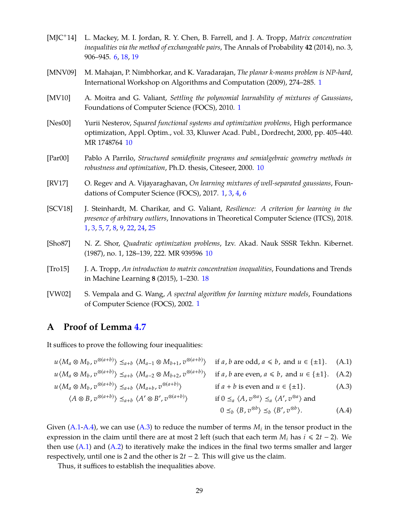- <span id="page-29-5"></span>[MJC+14] L. Mackey, M. I. Jordan, R. Y. Chen, B. Farrell, and J. A. Tropp, *Matrix concentration inequalities via the method of exchangeable pairs*, The Annals of Probability **42** (2014), no. 3, 906–945. [6,](#page-6-0) [18,](#page-18-1) [19](#page-19-3)
- <span id="page-29-1"></span>[MNV09] M. Mahajan, P. Nimbhorkar, and K. Varadarajan, *The planar k-means problem is NP-hard*, International Workshop on Algorithms and Computation (2009), 274–285. [1](#page-1-1)
- <span id="page-29-3"></span>[MV10] A. Moitra and G. Valiant, *Settling the polynomial learnability of mixtures of Gaussians*, Foundations of Computer Science (FOCS), 2010. [1](#page-1-1)
- <span id="page-29-8"></span>[Nes00] Yurii Nesterov, *Squared functional systems and optimization problems*, High performance optimization, Appl. Optim., vol. 33, Kluwer Acad. Publ., Dordrecht, 2000, pp. 405–440. MR 1748764 [10](#page-10-4)
- <span id="page-29-7"></span>[Par00] Pablo A Parrilo, *Structured semidefinite programs and semialgebraic geometry methods in robustness and optimization*, Ph.D. thesis, Citeseer, 2000. [10](#page-10-4)
- <span id="page-29-0"></span>[RV17] O. Regev and A. Vijayaraghavan, *On learning mixtures of well-separated gaussians*, Foundations of Computer Science (FOCS), 2017. [1,](#page-1-1) [3,](#page-3-2) [4,](#page-4-1) [6](#page-6-0)
- <span id="page-29-4"></span>[SCV18] J. Steinhardt, M. Charikar, and G. Valiant, *Resilience: A criterion for learning in the presence of arbitrary outliers*, Innovations in Theoretical Computer Science (ITCS), 2018. [1,](#page-1-1) [3,](#page-3-2) [5,](#page-5-2) [7,](#page-7-0) [8,](#page-8-0) [9,](#page-9-1) [22,](#page-22-5) [24,](#page-24-4) [25](#page-25-1)
- <span id="page-29-6"></span>[Sho87] N. Z. Shor, *Quadratic optimization problems*, Izv. Akad. Nauk SSSR Tekhn. Kibernet. (1987), no. 1, 128–139, 222. MR 939596 [10](#page-10-4)
- <span id="page-29-10"></span>[Tro15] J. A. Tropp, *An introduction to matrix concentration inequalities*, Foundations and Trends in Machine Learning **8** (2015), 1–230. [18](#page-18-1)
- <span id="page-29-2"></span>[VW02] S. Vempala and G. Wang, *A spectral algorithm for learning mixture models*, Foundations of Computer Science (FOCS), 2002. [1](#page-1-1)

# <span id="page-29-9"></span>**A Proof of Lemma [4.7](#page-17-1)**

It suffices to prove the following four inequalities:

<span id="page-29-14"></span><span id="page-29-13"></span><span id="page-29-11"></span>
$$
u \langle M_a \otimes M_b, v^{\otimes (a+b)} \rangle \leq_{a+b} \langle M_{a-1} \otimes M_{b+1}, v^{\otimes (a+b)} \rangle \quad \text{if } a, b \text{ are odd, } a \leq b, \text{ and } u \in \{\pm 1\}. \tag{A.1}
$$
  
\n
$$
u \langle M_a \otimes M_b, v^{\otimes (a+b)} \rangle \leq_{a+b} \langle M_{a-2} \otimes M_{b+2}, v^{\otimes (a+b)} \rangle \quad \text{if } a, b \text{ are even, } a \leq b, \text{ and } u \in \{\pm 1\}. \tag{A.2}
$$
  
\n
$$
u \langle M_a \otimes M_b, v^{\otimes (a+b)} \rangle \leq_{a+b} \langle M_{a+b}, v^{\otimes (a+b)} \rangle \quad \text{if } a+b \text{ is even and } u \in \{\pm 1\}. \tag{A.3}
$$
  
\n
$$
\langle A \otimes B, v^{\otimes (a+b)} \rangle \leq_{a+b} \langle A' \otimes B', v^{\otimes (a+b)} \rangle \quad \text{if } 0 \leq_a \langle A, v^{\otimes a} \rangle \leq_a \langle A', v^{\otimes a} \rangle \text{ and}
$$
  
\n
$$
0 \leq_b \langle B, v^{\otimes b} \rangle \leq_b \langle B', v^{\otimes b} \rangle. \tag{A.4}
$$

Given [\(A.1-](#page-29-11)[A.4\)](#page-29-12), we can use [\(A.3\)](#page-29-13) to reduce the number of terms  $M_i$  in the tensor product in the expression in the claim until there are at most 2 left (such that each term  $M_i$  has  $i \le 2t - 2$ ). We then use  $(A.1)$  and  $(A.2)$  to iteratively make the indices in the final two terms smaller and larger respectively, until one is 2 and the other is 2*t* − 2. This will give us the claim.

<span id="page-29-12"></span>Thus, it suffices to establish the inequalities above.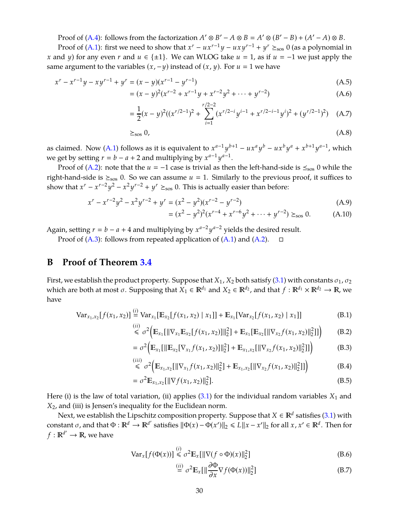Proof of [\(A.4\)](#page-29-12): follows from the factorization  $A' \otimes B' - A \otimes B = A' \otimes (B' - B) + (A' - A) \otimes B$ .

Proof of [\(A.1\)](#page-29-11): first we need to show that  $x^r - ux^{r-1}y - uxy^{r-1} + y^r \geq_{\text{so}} 0$  (as a polynomial in *x* and *y*) for any even *r* and  $u \in \{\pm 1\}$ . We can WLOG take  $u = 1$ , as if  $u = -1$  we just apply the same argument to the variables  $(x, -y)$  instead of  $(x, y)$ . For  $u = 1$  we have

$$
x^{r} - x^{r-1}y - xy^{r-1} + y^{r} = (x - y)(x^{r-1} - y^{r-1})
$$
\n(A.5)

$$
= (x - y)^2 (x^{r-2} + x^{r-1}y + x^{r-2}y^2 + \dots + y^{r-2})
$$
 (A.6)

$$
= \frac{1}{2}(x-y)^2((x^{r/2-1})^2 + \sum_{i=1}^{r/2-2} (x^{r/2-i}y^{i-1} + x^{r/2-i-1}y^i)^2 + (y^{r/2-1})^2)
$$
 (A.7)

$$
\geq_{\rm sos} 0,\tag{A.8}
$$

as claimed. Now [\(A.1\)](#page-29-11) follows as it is equivalent to  $x^{a-1}y^{b+1} - ux^ay^b - ux^by^a + x^{b+1}y^{a-1}$ , which we get by setting  $r = b - a + 2$  and multiplying by  $x^{a-1}y^{a-1}$ .

Proof of [\(A.2\)](#page-29-14): note that the  $u = -1$  case is trivial as then the left-hand-side is  $\leq_{\text{sos}} 0$  while the right-hand-side is  $\geq_{sos} 0$ . So we can assume  $u = 1$ . Similarly to the previous proof, it suffices to show that  $x^r - x^{r-2}y^2 - x^2y^{r-2} + y^r \geq_{\text{sos}} 0$ . This is actually easier than before:

$$
x^{r} - x^{r-2}y^{2} - x^{2}y^{r-2} + y^{r} = (x^{2} - y^{2})(x^{r-2} - y^{r-2})
$$
\n(A.9)

$$
= (x2 - y2)2 (xr-4 + xr-6y2 + \dots + yr-2) \succeq_{\text{so}} 0.
$$
 (A.10)

Again, setting  $r = b - a + 4$  and multiplying by  $x^{a-2}y^{a-2}$  yields the desired result.

Proof of [\(A.3\)](#page-29-13): follows from repeated application of [\(A.1\)](#page-29-11) and [\(A.2\)](#page-29-14).

# <span id="page-30-0"></span>**B Proof of Theorem [3.4](#page-12-4)**

First, we establish the product property. Suppose that  $X_1$ ,  $X_2$  both satisfy [\(3.1\)](#page-11-2) with constants  $\sigma_1$ ,  $\sigma_2$ which are both at most  $\sigma$ . Supposing that  $X_1 \in \mathbb{R}^{d_1}$  and  $X_2 \in \mathbb{R}^{d_2}$ , and that  $f: \mathbb{R}^{d_1} \times \mathbb{R}^{d_2} \to \mathbb{R}$ , we have

$$
\text{Var}_{x_1, x_2}[f(x_1, x_2)] \stackrel{\text{(i)}}{=} \text{Var}_{x_1}[\mathbb{E}_{x_2}[f(x_1, x_2) \mid x_1]] + \mathbb{E}_{x_1}[\text{Var}_{x_2}[f(x_1, x_2) \mid x_1]] \tag{B.1}
$$

$$
\leq \sigma^2 \Big( \mathbb{E}_{x_1} [\|\nabla_{x_1} \mathbb{E}_{x_2}[f(x_1, x_2)]\|_2^2] + \mathbb{E}_{x_1} [\mathbb{E}_{x_2} [\|\nabla_{x_2} f(x_1, x_2)\|_2^2]] \Big) \qquad (B.2)
$$

$$
= \sigma^2 \Big( \mathbb{E}_{x_1} [\|\mathbb{E}_{x_2} [\nabla_{x_1} f(x_1, x_2)]\|_2^2] + \mathbb{E}_{x_1, x_2} [\|\nabla_{x_2} f(x_1, x_2)\|_2^2]] \Big)
$$
(B.3)

$$
\stackrel{(iii)}{\leq} \sigma^2 \Big( \mathbb{E}_{x_1, x_2} [\|\nabla_{x_1} f(x_1, x_2)\|_2^2] + \mathbb{E}_{x_1, x_2} [\|\nabla_{x_2} f(x_1, x_2)\|_2^2]] \Big) \tag{B.4}
$$

$$
= \sigma^2 \mathbb{E}_{x_1, x_2} [\|\nabla f(x_1, x_2)\|_2^2].
$$
 (B.5)

Here (i) is the law of total variation, (ii) applies  $(3.1)$  for the individual random variables  $X_1$  and *X*2, and (iii) is Jensen's inequality for the Euclidean norm.

Next, we establish the Lipschitz composition property. Suppose that  $X \in \mathbb{R}^d$  satisfies [\(3.1\)](#page-11-2) with constant  $\sigma$ , and that  $\Phi : \mathbb{R}^d \to \mathbb{R}^{d'}$  satisfies  $\|\Phi(x) - \Phi(x')\|_2 \le L \|x - x'\|_2$  for all  $x, x' \in \mathbb{R}^d$ . Then for  $f: \mathbb{R}^{d'} \to \mathbb{R}$ , we have

$$
\text{Var}_x[f(\Phi(x))] \stackrel{(i)}{\leq} \sigma^2 \mathbb{E}_x[\|\nabla (f \circ \Phi)(x)\|_2^2] \tag{B.6}
$$

$$
\stackrel{(ii)}{=} \sigma^2 \mathbb{E}_x[\|\frac{\partial \Phi}{\partial x} \nabla f(\Phi(x))\|_2^2]
$$
 (B.7)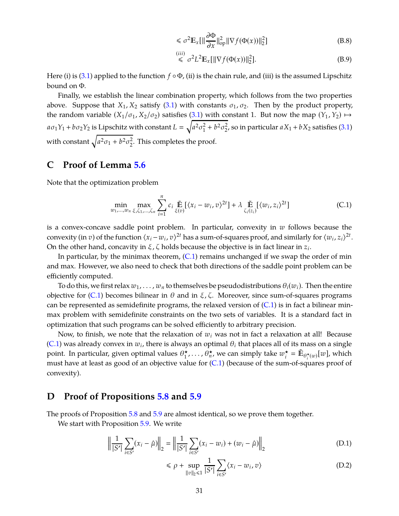$$
\leq \sigma^2 \mathbb{E}_x[\|\frac{\partial \Phi}{\partial x}\|_{\text{op}}^2 \|\nabla f(\Phi(x))\|_2^2]
$$
(B.8)

$$
\leq \sigma^2 L^2 \mathbb{E}_x[\|\nabla f(\Phi(x))\|_2^2].\tag{B.9}
$$

Here (i) is [\(3.1\)](#page-11-2) applied to the function  $f \circ \Phi$ , (ii) is the chain rule, and (iii) is the assumed Lipschitz bound on Φ.

Finally, we establish the linear combination property, which follows from the two properties above. Suppose that  $X_1, X_2$  satisfy [\(3.1\)](#page-11-2) with constants  $\sigma_1, \sigma_2$ . Then by the product property, the random variable  $(X_1/\sigma_1, X_2/\sigma_2)$  satisfies [\(3.1\)](#page-11-2) with constant 1. But now the map  $(Y_1, Y_2) \mapsto$  $a\sigma_1 Y_1 + b\sigma_2 Y_2$  is Lipschitz with constant  $L = \sqrt{a^2 \sigma_1^2}$  $_1^2 + b^2 \sigma_2^2$  $2<sub>2</sub>$ , so in particular  $aX_1 + bX_2$  satisfies [\(3.1\)](#page-11-2) with constant  $\sqrt{a^2\sigma_1 + b^2\sigma_2^2}$  $2<sup>2</sup>$ . This completes the proof.

# <span id="page-31-0"></span>**C Proof of Lemma [5.6](#page-21-3)**

Note that the optimization problem

<span id="page-31-2"></span>
$$
\min_{w_1,\ldots,w_n} \max_{\xi,\zeta_1,\ldots,\zeta_n} \sum_{i=1}^n c_i \widetilde{\mathbb{E}} \left[ \langle x_i - w_i, v \rangle^{2t} \right] + \lambda \widetilde{\mathbb{E}} \left[ \langle w_i, z_i \rangle^{2t} \right] \tag{C.1}
$$

is a convex-concave saddle point problem. In particular, convexity in *w* follows because the convexity (in *v*) of the function  $\langle x_i - w_i, v \rangle^{2t}$  has a sum-of-squares proof, and similarly for  $\langle w_i, z_i \rangle^{2t}$ . On the other hand, concavity in  $\xi$ ,  $\zeta$  holds because the objective is in fact linear in  $z_i$ .

In particular, by the minimax theorem,  $(C.1)$  remains unchanged if we swap the order of min and max. However, we also need to check that both directions of the saddle point problem can be efficiently computed.

To do this, we first relax  $w_1, \ldots, w_n$  to themselves be pseudodistributions  $\theta_i(w_i)$ . Then the entire objective for [\(C.1\)](#page-31-2) becomes bilinear in θ and in ξ, ζ. Moreover, since sum-of-squares programs can be represented as semidefinite programs, the relaxed version of  $(C.1)$  is in fact a bilinear minmax problem with semidefinite constraints on the two sets of variables. It is a standard fact in optimization that such programs can be solved efficiently to arbitrary precision.

Now, to finish, we note that the relaxation of  $w_i$  was not in fact a relaxation at all! Because [\(C.1\)](#page-31-2) was already convex in  $w_i$ , there is always an optimal  $\theta_i$  that places all of its mass on a single point. In particular, given optimal values  $\theta_1^{\star}, \ldots, \theta_n^{\star}$ , we can simply take  $w_i^{\star}$  $\vec{F}_i = \tilde{\mathbb{E}}_{\theta_i^{\star}(w)}[w]$ , which must have at least as good of an objective value for [\(C.1\)](#page-31-2) (because of the sum-of-squares proof of convexity).

## <span id="page-31-1"></span>**D Proof of Propositions [5.8](#page-24-1) and [5.9](#page-24-3)**

The proofs of Proposition [5.8](#page-24-1) and [5.9](#page-24-3) are almost identical, so we prove them together.

We start with Proposition [5.9.](#page-24-3) We write

$$
\left\| \frac{1}{|S'|} \sum_{i \in S'} (x_i - \hat{\mu}) \right\|_2 = \left\| \frac{1}{|S'|} \sum_{i \in S'} (x_i - w_i) + (w_i - \hat{\mu}) \right\|_2
$$
 (D.1)

$$
\leq \rho + \sup_{\|v\|_2 \leq 1} \frac{1}{|S'|} \sum_{i \in S'} \langle x_i - w_i, v \rangle \tag{D.2}
$$